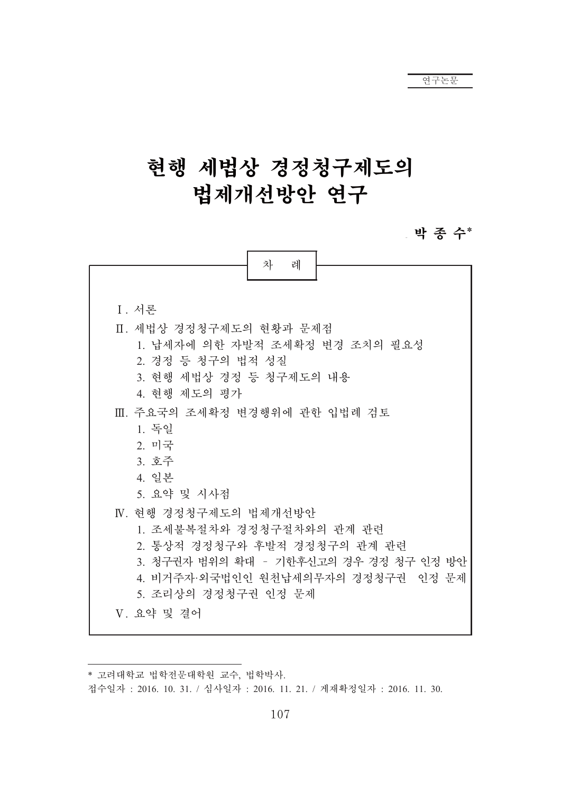# 현행 세법상 경정청구제도의 법제개선방안 연구

<sub>-</sub> 박 종 수\*

|                                                                                                                                        | 차 례 |  |                                                                              |
|----------------------------------------------------------------------------------------------------------------------------------------|-----|--|------------------------------------------------------------------------------|
|                                                                                                                                        |     |  |                                                                              |
| I. 서론                                                                                                                                  |     |  |                                                                              |
| Ⅱ. 세법상 경정청구제도의 현황과 문제점<br>1. 납세자에 의한 자발적 조세확정 변경 조치의 필요성<br>2. 경정 등 청구의 법적 성질<br>3. 현행 세법상 경정 등 청구제도의 내용<br>4. 현행 제도의 평가               |     |  |                                                                              |
| Ⅲ. 주요국의 조세확정 변경행위에 관한 입법례 검토<br>1. 독일<br>2. 미국<br>3. 호주<br>4. 일본                                                                       |     |  |                                                                              |
| 5. 요약 및 시사점<br>IV. 현행 경정청구제도의 법제개선방안<br>1. 조세불복절차와 경정청구절차와의 관계 관련<br>2. 통상적 경정청구와 후발적 경정청구의 관계 관련<br>5. 조리상의 경정청구권 인정 문제<br>V. 요약 및 결어 |     |  | 3. 청구권자 범위의 확대 - 기한후신고의 경우 경정 청구 인정 방안<br>4. 비거주자·외국법인인 원천납세의무자의 경정청구권 인정 문제 |
|                                                                                                                                        |     |  |                                                                              |

<sup>\*</sup> 고려대학교 법학전문대학원 교수, 법학박사.

접수일자 : 2016. 10. 31. / 심사일자 : 2016. 11. 21. / 게재확정일자 : 2016. 11. 30.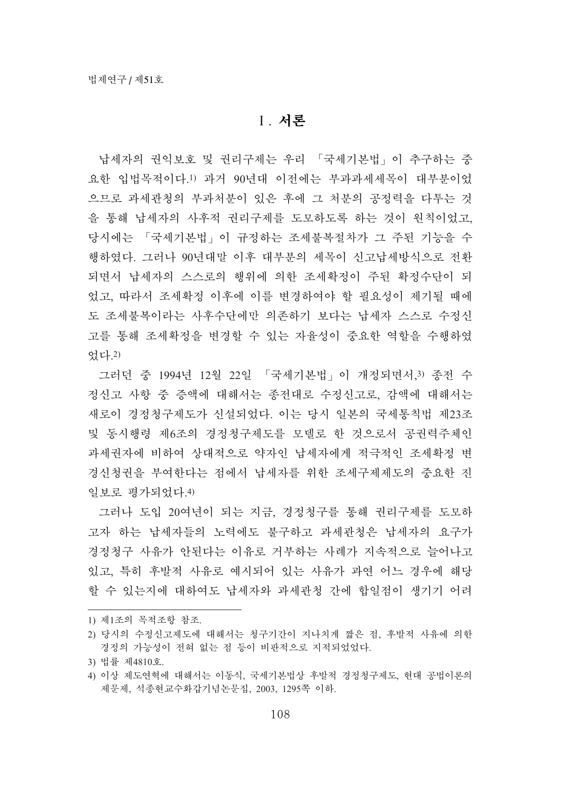1. 서론

납세자의 권익보호 및 권리구제는 우리 「국세기본법」이 추구하는 중 요한 입법목적이다.!) 과거 90년대 이전에는 부과과세세목이 대부분이었 으므로 과세관청의 부과처분이 있은 후에 그 처분의 공정력을 다투는 것 을 통해 납세자의 사후적 권리구제를 도모하도록 하는 것이 원칙이었고, 당시에는 「국세기본법」이 규정하는 조세불복절차가 그 주된 기능을 수 행하였다. 그러나 90년대말 이후 대부분의 세목이 신고납세방식으로 전환 되면서 납세자의 스스로의 행위에 의한 조세확정이 주된 확정수단이 되 었고, 따라서 조세확정 이후에 이를 변경하여야 할 필요성이 제기될 때에 도 조세불복이라는 사후수단에만 의존하기 보다는 납세자 스스로 수정신 고를 통해 조세확정을 변경할 수 있는 자율성이 중요한 역할을 수행하였 었다.2)

그러던 중 1994년 12월 22일 「국세기본법」이 개정되면서,3) 종전 수 정신고 사항 중 증액에 대해서는 종전대로 수정신고로, 감액에 대해서는 새로이 경정청구제도가 신설되었다. 이는 당시 일본의 국세통칙법 제23조 및 동시행령 제6조의 경정청구제도를 모델로 한 것으로서 공권력주체인 과세권자에 비하여 상대적으로 약자인 납세자에게 적극적인 조세확정 변 경신청권을 부여한다는 점에서 납세자를 위한 조세구제제도의 중요한 진 일보로 평가되었다.4)

그러나 도입 20여년이 되는 지금, 경정청구를 통해 권리구제를 도모하 고자 하는 납세자들의 노력에도 불구하고 과세관청은 납세자의 요구가 경정청구 사유가 아된다는 이유로 거부하는 사례가 지속적으로 늘어나고 있고, 특히 후발적 사유로 예시되어 있는 사유가 과연 어느 경우에 해당 할 수 있는지에 대하여도 납세자와 과세관청 간에 합일점이 생기기 어려

<sup>1)</sup> 제1조의 목적조항 참조.

<sup>2)</sup> 당시의 수정신고제도에 대해서는 청구기간이 지나치게 짧은 점, 후발적 사유에 의한 경정의 가능성이 전혀 없는 점 등이 비판적으로 지적되었었다.

<sup>3)</sup> 법률 제4810호.

<sup>4)</sup> 이상 제도연혁에 대해서는 이동식, 국세기본법상 후발적 경정청구제도, 현대 공법이론의 제문제, 석종현교수화갑기념논문집, 2003, 1295쪽 이하.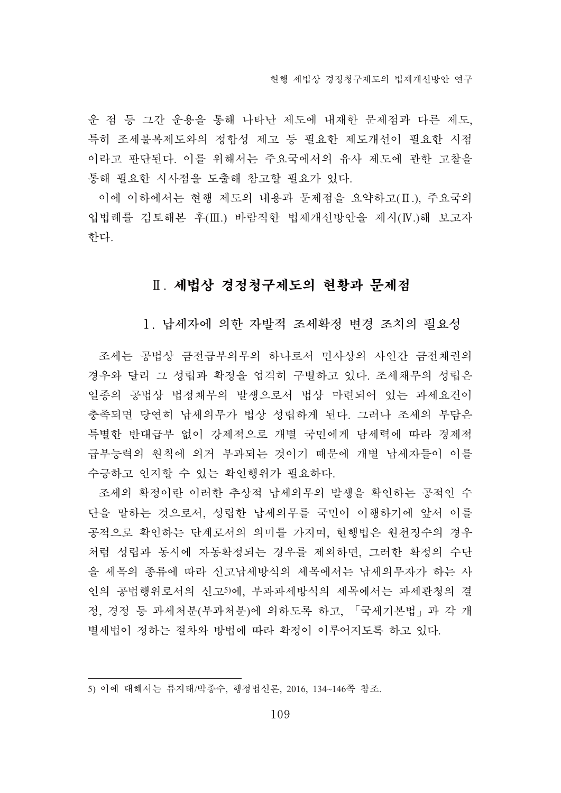운 점 등 그간 운용을 통해 나타난 제도에 내재한 문제점과 다른 제도, 특히 조세불복제도와의 정합성 제고 등 필요한 제도개선이 필요한 시점 이라고 판단된다. 이를 위해서는 주요국에서의 유사 제도에 관한 고찰을 통해 필요한 시사점을 도출해 참고할 필요가 있다.

이에 이하에서는 현행 제도의 내용과 문제점을 요약하고(II.), 주요국의 입법례를 걲토해본 후(III.) 바람직한 법제개선방안을 제시(IV.)해 보고자 한다.

# Ⅱ. 세법상 경정청구제도의 현황과 무제점

1. 납세자에 의한 자발적 조세확정 변경 조치의 필요성

조세는 공법상 금전급부의무의 하나로서 민사상의 사이간 금전채권의 경우와 달리 그 성립과 확정을 엄격히 구별하고 있다. 조세채무의 성립은 일종의 공법상 법정채무의 발생으로서 법상 마련되어 있는 과세요건이 충족되면 당연히 납세의무가 법상 성립하게 된다. 그러나 조세의 부담은 특별한 반대급부 없이 강제적으로 개별 국민에게 담세력에 따라 경제적 급부능력의 원칙에 의거 부과되는 것이기 때문에 개별 납세자들이 이를 수긍하고 인지할 수 있는 확인행위가 필요하다.

조세의 확정이란 이러한 추상적 납세의무의 발생을 확인하는 공적인 수 단을 말하는 것으로서, 성립한 납세의무를 국민이 이행하기에 앞서 이를 공적으로 확인하는 단계로서의 의미를 가지며, 현행법은 원천징수의 경우 처럼 성립과 동시에 자동확정되는 경우를 제외하면, 그러한 확정의 수단 을 세목의 종류에 따라 신고납세방식의 세목에서는 납세의무자가 하는 사 인의 공법행위로서의 신고5에, 부과과세방식의 세목에서는 과세관청의 결 정, 경정 등 과세처분(부과처분)에 의하도록 하고, 「국세기본법」과 각 개 별세법이 정하는 절차와 방법에 따라 확정이 이루어지도록 하고 있다.

<sup>5)</sup> 이에 대해서는 류지태/박종수, 행정법신론, 2016, 134~146쪽 참조.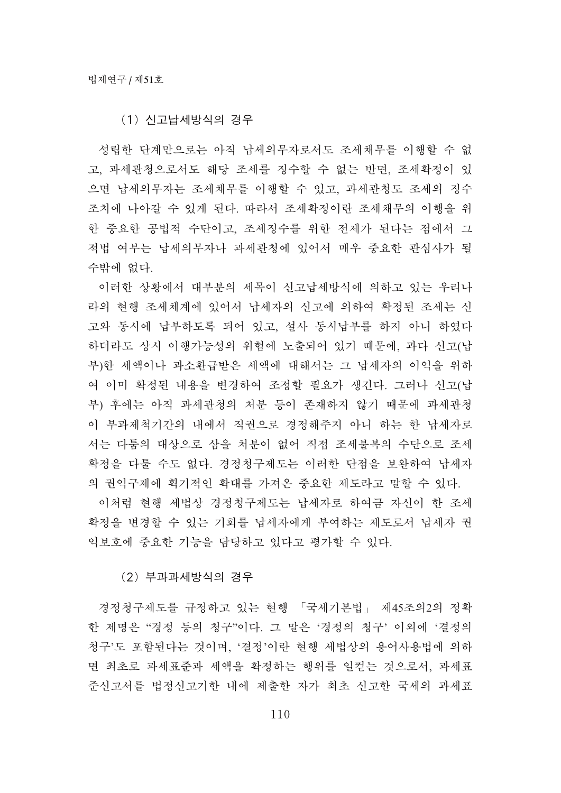#### (1) 신고납세방식의 경우

성립한 단계만으로는 아직 납세의무자로서도 조세채무를 이행할 수 없 고, 과세관청으로서도 해당 조세를 징수할 수 없는 반면, 조세확정이 있 으면 납세의무자는 조세채무를 이행할 수 있고, 과세관청도 조세의 징수 조치에 나아갈 수 있게 된다. 따라서 조세확정이란 조세채무의 이행을 위 한 중요한 공법적 수단이고, 조세징수를 위한 전제가 된다는 점에서 그 적법 여부는 납세의무자나 과세관청에 있어서 매우 중요한 관심사가 될 수밖에 없다.

이러한 상황에서 대부분의 세목이 신고납세방식에 의하고 있는 우리나 라의 현행 조세체계에 있어서 납세자의 신고에 의하여 확정된 조세는 신 고와 동시에 납부하도록 되어 있고, 설사 동시납부를 하지 아니 하였다 하더라도 상시 이행가능성의 위험에 노출되어 있기 때문에, 과다 신고(납 부)한 세액이나 과소환급받은 세액에 대해서는 그 납세자의 이익을 위하 여 이미 확정된 내용을 변경하여 조정할 필요가 생긴다. 그러나 신고(납 부) 후에는 아직 과세관청의 처분 등이 존재하지 않기 때문에 과세관청 이 부과제척기간의 내에서 직권으로 경정해주지 아니 하는 한 납세자로 서는 다툼의 대상으로 삼을 처분이 없어 직접 조세불복의 수단으로 조세 확정을 다툴 수도 없다. 경정청구제도는 이러한 단점을 보완하여 납세자 의 권익구제에 획기적인 확대를 가져온 중요한 제도라고 말할 수 있다.

이처럼 현행 세법상 경정청구제도는 납세자로 하여금 자신이 한 조세 확정을 변경할 수 있는 기회를 납세자에게 부여하는 제도로서 납세자 권 익보호에 중요한 기능을 담당하고 있다고 평가할 수 있다.

(2) 부과과세방식의 경우

경정청구제도를 규정하고 있는 현행 「국세기본법」 제45조의2의 정확 한 제명은 "경정 등의 청구"이다. 그 말은 '경정의 청구' 이외에 '결정의 청구'도 포함된다는 것이며, '결정'이란 현행 세법상의 용어사용법에 의하 면 최초로 과세표준과 세액을 확정하는 행위를 일컫는 것으로서, 과세표 준신고서를 법정신고기한 내에 제출한 자가 최초 신고한 국세의 과세표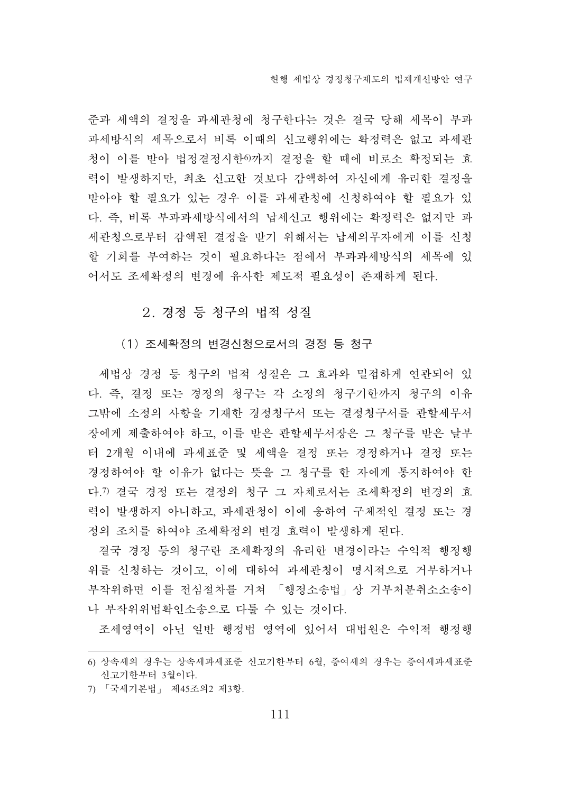준과 세액의 결정을 과세관청에 청구한다는 것은 결국 당해 세목이 부과 과세방식의 세목으로서 비록 이때의 신고행위에는 확정력은 없고 과세관 청이 이를 받아 법정결정시한6까지 결정을 할 때에 비로소 확정되는 효 력이 발생하지만, 최초 신고한 것보다 감액하여 자신에게 유리한 결정을 받아야 할 필요가 있는 경우 이를 과세관청에 신청하여야 할 필요가 있 다. 즉, 비록 부과과세방식에서의 납세신고 행위에는 확정력은 없지만 과 세관청으로부터 감액된 결정을 받기 위해서는 납세의무자에게 이를 신청 할 기회를 부여하는 것이 필요하다는 점에서 부과과세방식의 세목에 있 어서도 조세확정의 변경에 유사한 제도적 필요성이 존재하게 된다.

## 2. 경정 등 청구의 법적 성질

#### (1) 조세확정의 변경신청으로서의 경정 등 청구

세법상 경정 등 청구의 법적 성질은 그 효과와 밀접하게 연관되어 있 다. 즉, 결정 또는 경정의 청구는 각 소정의 청구기한까지 청구의 이유 그밖에 소정의 사항을 기재한 경정청구서 또는 결정청구서를 관할세무서 장에게 제출하여야 하고, 이를 받은 관할세무서장은 그 청구를 받은 날부 터 2개월 이내에 과세표준 및 세액을 결정 또는 경정하거나 결정 또는 경정하여야 할 이유가 없다는 뜻을 그 청구를 한 자에게 통지하여야 한 다.7) 결국 경정 또는 결정의 청구 그 자체로서는 조세확정의 변경의 효 력이 발생하지 아니하고, 과세관청이 이에 응하여 구체적인 결정 또는 경 정의 조치를 하여야 조세확정의 변경 효력이 발생하게 된다.

결국 경정 등의 청구란 조세확정의 유리한 변경이라는 수익적 행정행 위를 신청하는 것이고, 이에 대하여 과세관청이 명시적으로 거부하거나 부작위하면 이를 전심절차를 거쳐 「행정소송법」상 거부처분취소소송이 나 부작위위법확인소송으로 다툴 수 있는 것이다.

조세영역이 아닌 일반 행정법 영역에 있어서 대법원은 수익적 행정행

<sup>6)</sup> 상속세의 경우는 상속세과세표준 신고기한부터 6월, 증여세의 경우는 증여세과세표준 신고기한부터 3월이다.

<sup>7) 「</sup>국세기본법」 제45조의2 제3항.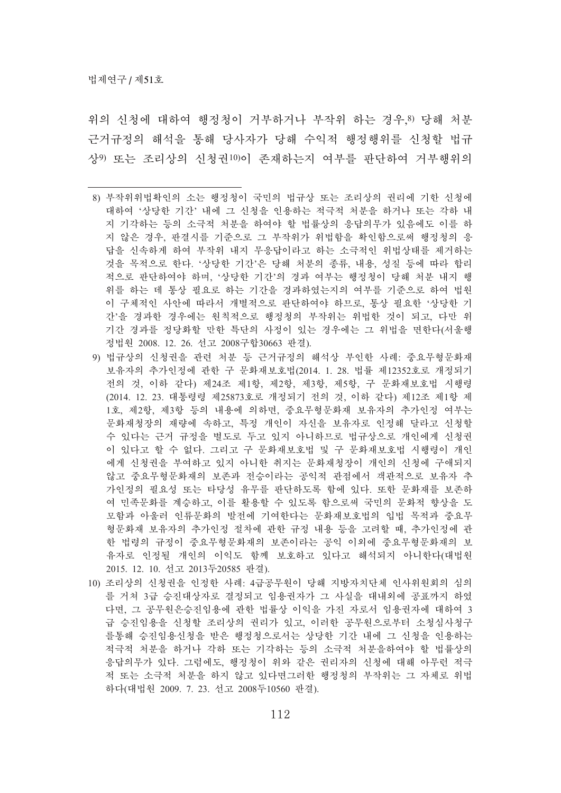위의 신청에 대하여 행정청이 거부하거나 부작위 하는 경우.8) 당해 처부 근거규정의 해석을 통해 당사자가 당해 수익적 행정행위를 신청할 법규 상9) 또는 조리상의 신청권10)이 존재하는지 여부를 판단하여 거부행위의

- 8) 부작위위법확인의 소는 행정청이 국민의 법규상 또는 조리상의 권리에 기한 신청에 대하여 '상당한 기간' 내에 그 신청을 인용하는 적극적 처분을 하거나 또는 각하 내 지 기각하는 등의 소극적 처부을 하여야 할 법률상의 응답의무가 있음에도 이를 하 지 않은 경우, 판결시를 기준으로 그 부작위가 위법함을 확인함으로써 행정청의 응 답을 신속하게 하여 부작위 내지 무응답이라고 하는 소극적인 위법상태를 제거하는 것을 목적으로 한다. '상당한 기간'은 당해 처분의 종류, 내용, 성질 등에 따라 합리 적으로 판단하여야 하며. '상당한 기간'의 경과 여부는 행정청이 당해 처분 내지 행 위를 하는 데 통상 필요로 하는 기간을 경과하였는지의 여부를 기준으로 하여 법원 이 구체적인 사안에 따라서 개별적으로 판단하여야 하므로, 통상 필요한 '상당한 기 간'을 경과한 경우에는 원칙적으로 행정청의 부작위는 위법한 것이 되고, 다만 위 기간 경과를 정당화할 만한 특단의 사정이 있는 경우에는 그 위법을 면한다(서울행 정법원 2008. 12. 26. 선고 2008구합30663 판결).
- 9) 법규상의 신청권을 관련 처분 등 근거규정의 해석상 부인한 사례: 중요무형문화재 보유자의 추가인정에 관한 구 문화재보호법(2014. 1. 28. 법률 제12352호로 개정되기 전의 것, 이하 같다) 제24조 제1항, 제2항, 제3항, 제5항, 구 문화재보호법 시행령 (2014. 12. 23. 대통령령 제25873호로 개정되기 전의 것, 이하 같다) 제12조 제1항 제 1호, 제2항, 제3항 등의 내용에 의하면, 중요무형문화재 보유자의 추가인정 여부는 문화재청장의 재량에 속하고, 특정 개인이 자신을 보유자로 인정해 달라고 신청할 수 있다는 근거 규정을 별도로 두고 있지 아니하므로 법규상으로 개인에게 신청권 이 있다고 할 수 없다. 그리고 구 문화재보호법 및 구 문화재보호법 시행령이 개인 에게 신청권을 부여하고 있지 아니한 취지는 문화재청장이 개인의 신청에 구애되지 않고 중요무형문화재의 보존과 전승이라는 공익적 관점에서 객관적으로 보유자 추 가인정의 필요성 또는 타당성 유무를 판단하도록 함에 있다. 또한 문화재를 보존하 여 민족문화를 계승하고, 이를 활용할 수 있도록 함으로써 국민의 문화적 향상을 도 모함과 아울러 인류문화의 발전에 기여한다는 문화재보호법의 입법 목적과 중요무 형문화재 보유자의 추가인정 절차에 관한 규정 내용 등을 고려할 때, 추가인정에 관 한 법령의 규정이 중요무형문화재의 보존이라는 공익 이외에 중요무형문화재의 보 유자로 인정될 개인의 이익도 함께 보호하고 있다고 해석되지 아니한다(대법원 2015. 12. 10. 漍嫍2013戽20585 能媝).
- 10) 조리상의 신청권을 인정한 사례: 4급공무원이 당해 지방자치단체 인사위원회의 심의 를 거쳐 3급 승진대상자로 결정되고 임용권자가 그 사실을 대내외에 공표까지 하였 다면, 그 공무원은승진임용에 관한 법률상 이익을 가진 자로서 임용권자에 대하여 3 급 승진임용을 신청할 조리상의 권리가 있고, 이러한 공무원으로부터 소청심사청구 릌톳해 승지임용신청을 받은 행정청으로서는 상당한 기간 내에 그 신청을 인용하는 적극적 처분을 하거나 각하 또는 기각하는 등의 소극적 처분을하여야 할 법률상의 응답의무가 있다. 그럼에도, 행정청이 위와 같은 권리자의 신청에 대해 아무런 적극 적 또는 소극적 처분을 하지 않고 있다면그러한 행정청의 부작위는 그 자체로 위법 하다(대법원 2009. 7. 23. 선고 2008두10560 판결).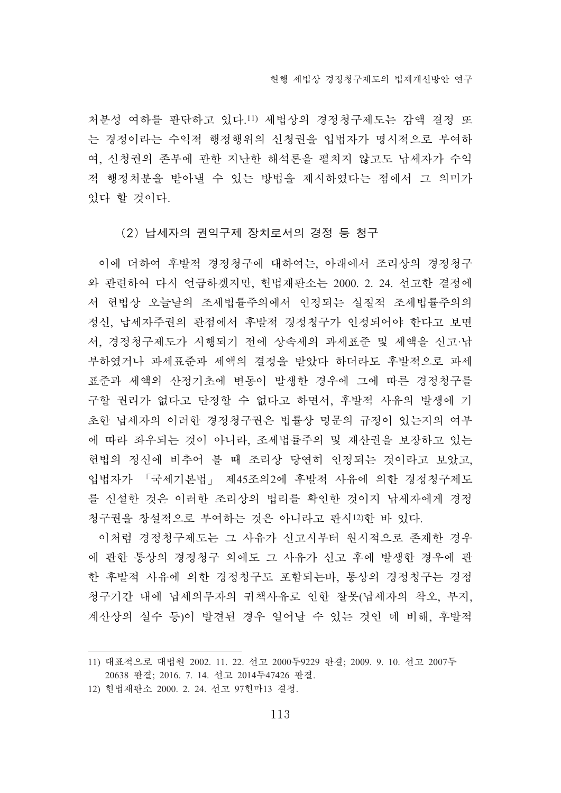처부성 여하를 판단하고 있다.11) 세법상의 경정청구제도는 감액 결정 또 는 경정이라는 수익적 행정행위의 신청권을 입법자가 명시적으로 부여하 여, 신청권의 존부에 관한 지난한 해석론을 펼치지 않고도 납세자가 수익 적 행정처분을 받아낼 수 있는 방법을 제시하였다는 점에서 그 의미가 있다 할 것이다.

#### (2) 납세자의 권익구제 장치로서의 경정 등 청구

이에 더하여 후발적 경정청구에 대하여는, 아래에서 조리상의 경정청구 와 관련하여 다시 언급하겠지만, 헌법재판소는 2000. 2. 24. 선고한 결정에 서 헌법상 오늘날의 조세법률주의에서 인정되는 실질적 조세법률주의의 정신, 납세자주권의 관점에서 후발적 경정청구가 인정되어야 한다고 보면 서, 경정청구제도가 시행되기 전에 상속세의 과세표준 및 세액을 신고·납 부하였거나 과세표준과 세액의 결정을 받았다 하더라도 후발적으로 과세 표준과 세액의 산정기초에 변동이 발생한 경우에 그에 따른 경정청구를 구할 권리가 없다고 단정할 수 없다고 하면서, 후발적 사유의 발생에 기 초한 납세자의 이러한 경정청구권은 법률상 명문의 규정이 있는지의 여부 에 따라 좌우되는 것이 아니라. 조세법률주의 및 재산권을 보장하고 있는 헌법의 정신에 비추어 볼 때 조리상 당연히 인정되는 것이라고 보았고, 입법자가 「국세기본법」 제45조의2에 후발적 사유에 의한 경정청구제도 를 신설한 것은 이러한 조리상의 법리를 확인한 것이지 납세자에게 경정 청구권을 창설적으로 부여하는 것은 아니라고 판시12)한 바 있다.

이처럼 경정청구제도는 그 사유가 신고시부터 원시적으로 존재한 경우 에 관한 통상의 경정청구 외에도 그 사유가 신고 후에 발생한 경우에 관 한 후발적 사유에 의한 경정청구도 포함되는바, 통상의 경정청구는 경정 청구기간 내에 납세의무자의 귀책사유로 인한 잘못(납세자의 착오, 부지, 계산상의 실수 등)이 발견된 경우 일어날 수 있는 것인 데 비해, 후발적

<sup>11)</sup> 대표적으로 대법원 2002. 11. 22. 선고 2000두9229 판결; 2009. 9. 10. 선고 2007두 20638 판결; 2016. 7. 14. 선고 2014두47426 판결.

<sup>12)</sup> 헌법재판소 2000. 2. 24. 선고 97헌마13 결정.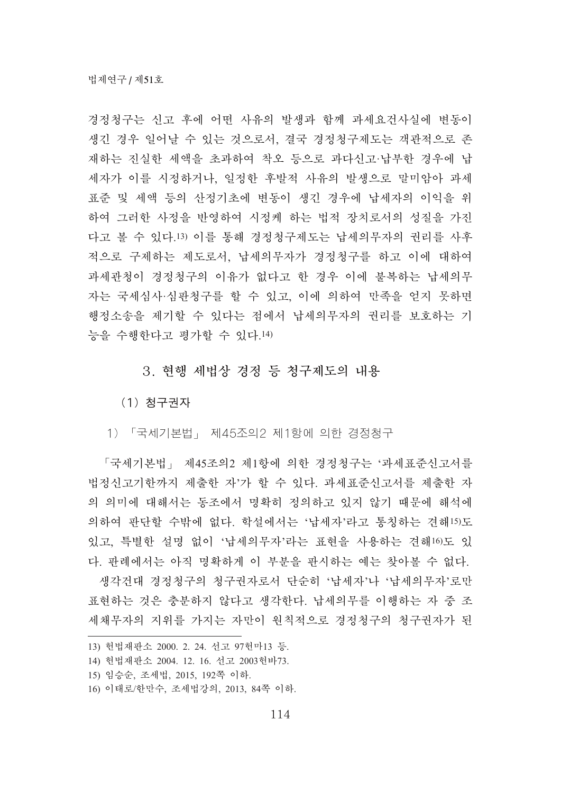경정청구는 신고 후에 어떤 사유의 발생과 함께 과세요건사실에 변동이 생긴 경우 일어날 수 있는 것으로서, 결국 경정청구제도는 객관적으로 존 재하는 진실한 세액을 초과하여 착오 등으로 과다신고·납부한 경우에 납 세자가 이를 시정하거나, 일정한 후발적 사유의 발생으로 말미암아 과세 표준 및 세액 등의 산정기초에 변동이 생긴 경우에 납세자의 이익을 위 하여 그러한 사정을 반영하여 시정케 하는 법적 장치로서의 성질을 가진 다고 볼 수 있다.13) 이를 통해 경정청구제도는 납세의무자의 권리를 사후 적으로 구제하는 제도로서, 납세의무자가 경정청구를 하고 이에 대하여 과세관청이 경정청구의 이유가 없다고 한 경우 이에 불복하는 납세의무 <u>자는 국세심사·심판청구를 할 수 있고</u>, 이에 의하여 만족을 얻지 못하면 행정소송을 제기할 수 있다는 점에서 납세의무자의 권리를 보호하는 기 능을 수행하다고 평가할 수 있다.14)

### 3. 현행 세법상 경정 등 청구제도의 내용

(1) 청구권자

1) 「국세기본법」 제45조의2 제1항에 의한 경정청구

「국세기본법」 제45조의2 제1항에 의한 경정청구는 '과세표준신고서를 법정신고기한까지 제출한 자'가 할 수 있다. 과세표준신고서를 제출한 자 의 의미에 대해서는 동조에서 명확히 정의하고 있지 않기 때문에 해석에 의하여 판단할 수밖에 없다. 학설에서는 '납세자'라고 통칭하는 견해15)도 있고, 특별한 설명 없이 '납세의무자'라는 표현을 사용하는 견해16)도 있 다. 판례에서는 아직 명확하게 이 부분을 판시하는 예는 찾아볼 수 없다.

생각건대 경정청구의 청구권자로서 단순히 '납세자'나 '납세의무자'로만 표현하는 것은 충분하지 않다고 생각한다. 납세의무를 이행하는 자 중 조 세채무자의 지위를 가지는 자만이 워칙적으로 경정청구의 청구권자가 된

<sup>13)</sup> 헌법재판소 2000. 2. 24. 선고 97헌마13 등.

<sup>14)</sup> 헌법재판소 2004. 12. 16. 선고 2003헌바73.

<sup>15)</sup> 임승순, 조세법, 2015, 192쪽 이하.

<sup>16)</sup> 이태로/한만수, 조세법강의, 2013, 84쪽 이하.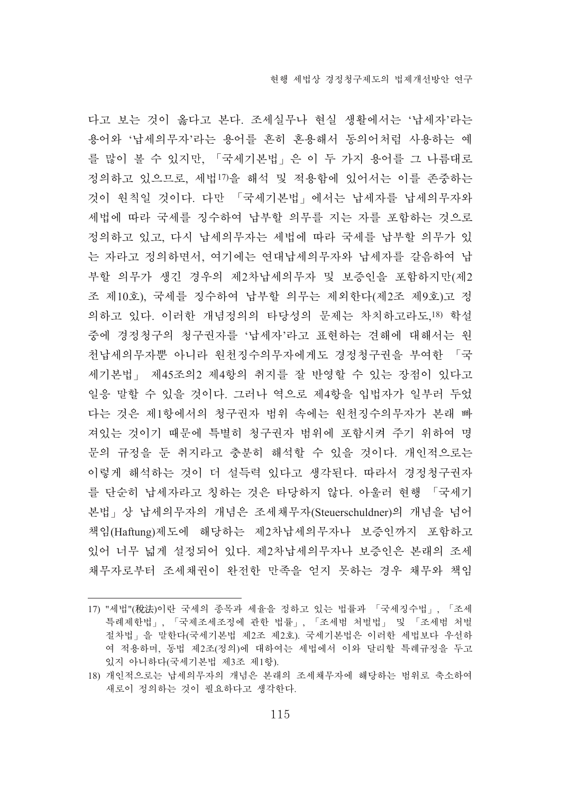다고 보는 것이 옳다고 본다. 조세실무나 현실 생활에서는 '납세자'라는 용어와 '납세의무자'라는 용어를 흔히 혼용해서 동의어처럼 사용하는 예 를 많이 볼 수 있지만, 「국세기본법」은 이 두 가지 용어를 그 나름대로 정의하고 있으므로, 세법17)을 해석 및 적용함에 있어서는 이를 존중하는 것이 원칙일 것이다. 다만 「국세기본법」에서는 납세자를 납세의무자와 세법에 따라 국세를 징수하여 납부할 의무를 지는 자를 포함하는 것으로 정의하고 있고, 다시 납세의무자는 세법에 따라 국세를 납부할 의무가 있 는 자라고 정의하면서, 여기에는 연대납세의무자와 납세자를 갈음하여 납 부할 의무가 생긴 경우의 제2차납세의무자 및 보증인을 포함하지만(제2 조 제10호), 국세를 징수하여 납부할 의무는 제외한다(제2조 제9호)고 정 의하고 있다. 이러한 개념정의의 타당성의 문제는 차치하고라도,18) 학설 중에 경정청구의 청구권자를 '납세자'라고 표현하는 견해에 대해서는 원 천납세의무자뿐 아니라 원천징수의무자에게도 경정청구권을 부여한 「국 세기본법 | 제45조의2 제4항의 취지를 잘 반영할 수 있는 장점이 있다고 일응 말할 수 있을 것이다. 그러나 역으로 제4항을 입법자가 일부러 두었 다는 것은 제1항에서의 청구권자 범위 속에는 원천징수의무자가 본래 빠 져있는 것이기 때문에 특별히 청구권자 범위에 포함시켜 주기 위하여 명 문의 규정을 둔 취지라고 충분히 해석할 수 있을 것이다. 개인적으로는 이렇게 해석하는 것이 더 설득력 있다고 생각된다. 따라서 경정청구권자 를 단순히 납세자라고 칭하는 것은 타당하지 않다. 아울러 현행 「국세기 본법 | 상 납세의무자의 개념은 조세채무자(Steuerschuldner)의 개념을 넘어 책임(Haftung)제도에 해당하는 제2차납세의무자나 보증인까지 포함하고 있어 너무 넓게 설정되어 있다. 제2차납세의무자나 보증이은 본래의 조세 채무자로부터 조세채권이 완전한 만족을 얻지 못하는 경우 채무와 책임

<sup>17) &</sup>quot;세법"(稅法)이란 국세의 종목과 세율을 정하고 있는 법률과 「국세징수법」, 「조세 특례제한법」, 「국제조세조정에 관한 법률」, 「조세범 처벌법」 및 「조세범 처벌 절차법 을 말한다(국세기본법 제2조 제2호). 국세기본법은 이러한 세법보다 우선하 여 적용하며, 동법 제2조(정의)에 대하여는 세법에서 이와 달리할 특례규정을 두고 있지 아니하다(국세기본법 제3조 제1항).

<sup>18)</sup> 개인적으로는 납세의무자의 개념은 본래의 조세채무자에 해당하는 범위로 축소하여 새로이 정의하는 것이 필요하다고 생각한다.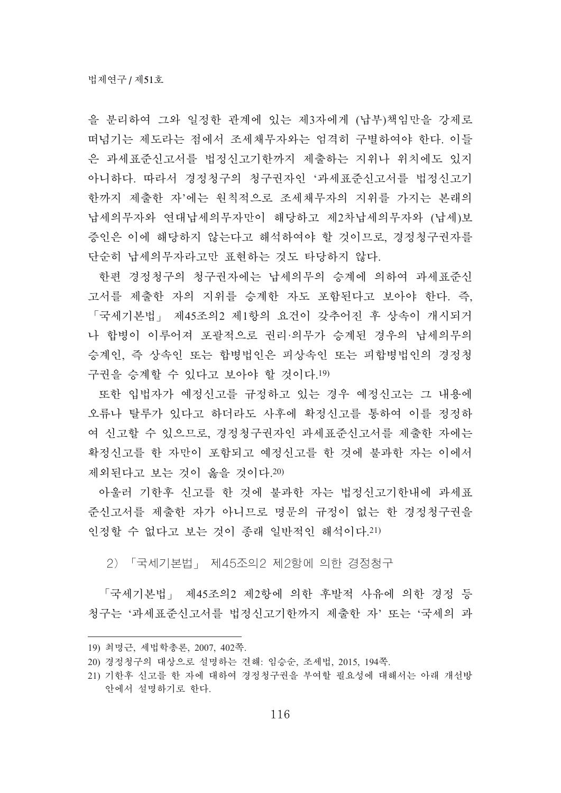을 부리하여 그와 일정한 관계에 있는 제3자에게 (납부)책임만을 강제로 떠넘기는 제도라는 점에서 조세채무자와는 엄격히 구별하여야 한다. 이들 은 과세표준신고서를 법정신고기한까지 제출하는 지위나 위치에도 있지 아니하다. 따라서 경정청구의 청구권자인 '과세표준신고서를 법정신고기 한까지 제출한 자'에는 원칙적으로 조세채무자의 지위를 가지는 본래의 납세의무자와 연대납세의무자만이 해당하고 제2차납세의무자와 (납세)보 증인은 이에 해당하지 않는다고 해석하여야 할 것이므로, 경정청구권자를 단순히 납세의무자라고만 표현하는 것도 타당하지 않다.

한편 경정청구의 청구권자에는 납세의무의 승계에 의하여 과세표준신 고서를 제출한 자의 지위를 승계한 자도 포함된다고 보아야 한다. 즉, 「국세기본법」 제45조의2 제1항의 요건이 갖추어진 후 상속이 개시되거 나 합병이 이루어져 포괄적으로 권리·의무가 승계된 경우의 납세의무의 승계인, 즉 상속인 또는 합병법인은 피상속인 또는 피합병법인의 경정청 구권을 승계할 수 있다고 보아야 할 것이다.19)

또한 입법자가 예정신고를 규정하고 있는 경우 예정신고는 그 내용에 오류나 탈루가 있다고 하더라도 사후에 확정신고를 통하여 이를 정정하 여 신고할 수 있으므로, 경정청구권자인 과세표준신고서를 제출한 자에는 확정신고를 한 자만이 포함되고 예정신고를 한 것에 불과한 자는 이에서 제외된다고 보는 것이 옳을 것이다.20)

아울러 기한후 신고를 한 것에 불과한 자는 법정신고기한내에 과세표 준신고서를 제출한 자가 아니므로 명문의 규정이 없는 한 경정청구권을 인정할 수 없다고 보는 것이 종래 일반적인 해석이다.21)

2) 「국세기본법」 제45조의2 제2항에 의한 경정청구

「국세기본법」 제45조의2 제2항에 의한 후발적 사유에 의한 경정 등 청구는 '과세표준신고서를 법정신고기한까지 제출한 자' 또는 '국세의 과

<sup>19)</sup> 최명근, 세법학총론, 2007, 402쪽.

<sup>20)</sup> 경정청구의 대상으로 설명하는 견해: 임승순, 조세법, 2015, 194쪽.

<sup>21)</sup> 기한후 신고를 한 자에 대하여 경정청구권을 부여할 필요성에 대해서는 아래 개선방 안에서 설명하기로 한다.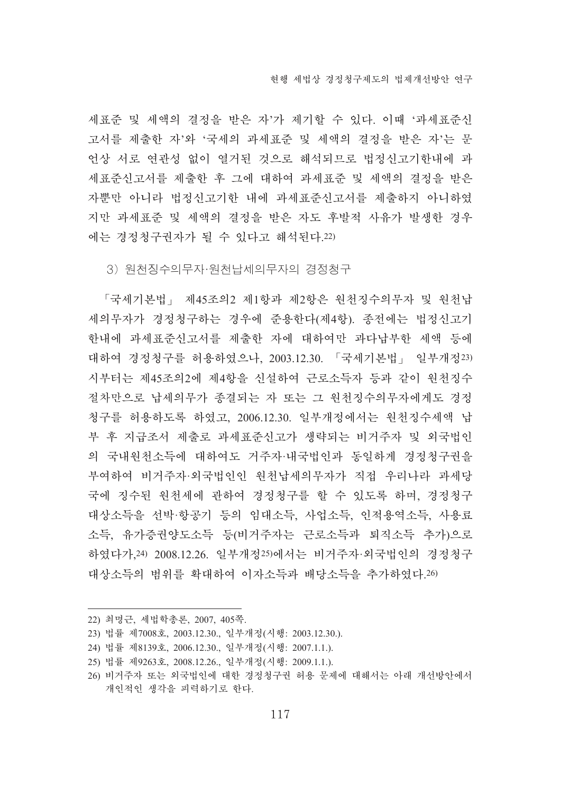세표주 및 세액의 결정을 받은 자'가 제기할 수 있다. 이때 '과세표주신 고서를 제출한 자'와 '국세의 과세표준 및 세액의 결정을 받은 자'는 문 언상 서로 연관성 없이 열거된 것으로 해석되므로 법정신고기한내에 과 세표준신고서를 제출한 후 그에 대하여 과세표준 및 세액의 결정을 받은 자뿐만 아니라 법정신고기한 내에 과세표준신고서를 제출하지 아니하였 지만 과세표준 및 세액의 결정을 받은 자도 후발적 사유가 발생한 경우 에는 경정청구권자가 될 수 있다고 해석된다.22)

3) 원천징수의무자·원천납세의무자의 경정청구

「국세기본법」 제45조의2 제1항과 제2항은 원천징수의무자 및 원천납 세의무자가 경정청구하는 경우에 준용한다(제4항). 종전에는 법정신고기 한내에 과세표준신고서를 제출한 자에 대하여만 과다납부한 세액 등에 대하여 경정청구를 허용하였으나, 2003.12.30. 「국세기본법」 일부개정23) 시부터는 제45조의2에 제4항을 신설하여 근로소득자 등과 같이 워천징수 절차만으로 납세의무가 종결되는 자 또는 그 원천징수의무자에게도 경정 청구를 허용하도록 하였고, 2006.12.30. 일부개정에서는 원천징수세액 납 부 후 지급조서 제출로 과세표준신고가 생략되는 비거주자 및 외국법인 의 국내원천소득에 대하여도 거주자·내국법인과 동일하게 경정청구권을 부여하여 비거주자·외국법인인 원천납세의무자가 직접 우리나라 과세당 국에 징수된 원천세에 관하여 경정청구를 할 수 있도록 하며, 경정청구 대상소득을 선박·항공기 등의 임대소득, 사업소득, 인적용역소득, 사용료 소득, 유가증권양도소득 등(비거주자는 근로소득과 퇴직소득 추가)으로 하였다가.<sup>24)</sup> 2008.12.26. 일부개정<sup>25)</sup>에서는 비거주자·외국법인의 경정청구 대상소득의 범위를 확대하여 이자소득과 배당소득을 추가하였다.26)

<sup>22)</sup> 최명근, 세법학총론, 2007, 405쪽.

<sup>23)</sup> 법률 제7008호, 2003.12.30., 일부개정(시행: 2003.12.30.).

<sup>24)</sup> 법률 제8139호, 2006.12.30., 일부개정(시행: 2007.1.1.).

<sup>25)</sup> 법률 제9263호, 2008.12.26., 일부개정(시행: 2009.1.1.).

<sup>26)</sup> 비거주자 또는 외국법인에 대한 경정청구권 허용 문제에 대해서는 아래 개선방안에서 개인적인 생각을 피력하기로 한다.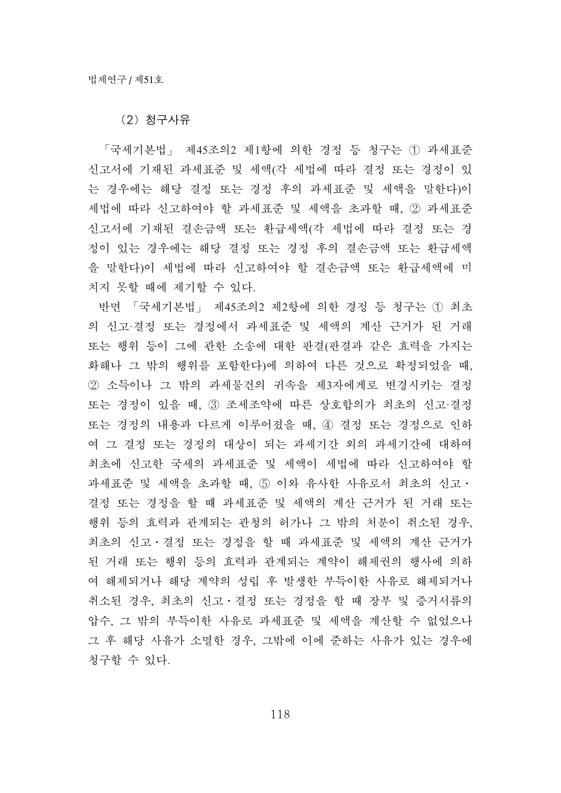#### (2) 청구사유

「국세기본법」 제45조의2 제1항에 의한 경정 등 청구는 ① 과세표준 신고서에 기재된 과세표준 및 세액(각 세법에 따라 결정 또는 경정이 있 는 경우에는 해당 결정 또는 경정 후의 과세표준 및 세액을 말한다)이 세법에 따라 신고하여야 할 과세표준 및 세액을 초과할 때, ② 과세표준 신고서에 기재된 결손금액 또는 환급세액(각 세법에 따라 결정 또는 경 정이 있는 경우에는 해당 결정 또는 경정 후의 결손금액 또는 환급세액 을 말한다)이 세법에 따라 신고하여야 할 결손금액 또는 환급세액에 미 치지 못할 때에 제기할 수 있다.

반면 「국세기본법」 제45조의2 제2항에 의한 경정 등 청구는 ① 최초 의 신고·결정 또는 경정에서 과세표주 및 세액의 계산 근거가 된 거래 또는 행위 등이 그에 관한 소송에 대한 판결(판결과 같은 효력을 가지는 화해나 그 밖의 행위를 포함한다)에 의하여 다른 것으로 확정되었을 때, ② 소득이나 그 밖의 과세물건의 귀속을 제3자에게로 변경시키는 결정 <u>또는 경정이 있을 때, 3</u> 조세조약에 따른 상호합의가 최초의 신고·결정 또는 경정의 내용과 다르게 이루어졌을 때, 4) 결정 또는 경정으로 인하 여 그 결정 또는 경정의 대상이 되는 과세기간 외의 과세기간에 대하여 최초에 신고한 국세의 과세표준 및 세액이 세법에 따라 신고하여야 할 과세표준 및 세액을 초과할 때, 5 이와 유사한 사유로서 최초의 신고 · 결정 또는 경정을 할 때 과세표준 및 세액의 계산 근거가 된 거래 또는 행위 등의 효력과 관계되는 관청의 허가나 그 밖의 처분이 취소된 경우, 최초의 신고 · 결정 또는 경정을 할 때 과세표준 및 세액의 계산 근거가 된 거래 또는 행위 등의 효력과 관계되는 계약이 해제권의 행사에 의하 여 해제되거나 해당 계약의 성립 후 발생한 부득이한 사유로 해제되거나 취소된 경우, 최초의 신고ㆍ결정 또는 경정을 할 때 장부 및 증거서류의 압수, 그 밖의 부득이한 사유로 과세표준 및 세액을 계산할 수 없었으나 그 후 해당 사유가 소멸한 경우, 그밖에 이에 준하는 사유가 있는 경우에 청구할 수 있다.

118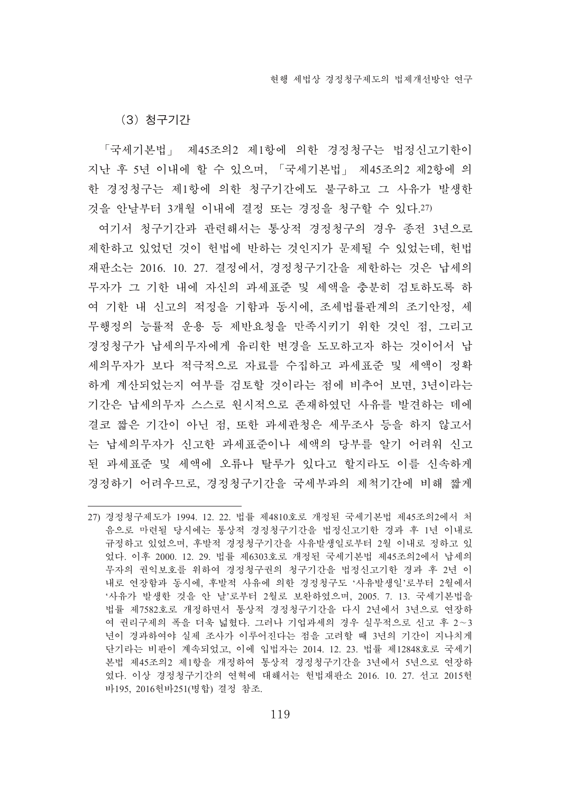(3) 청구기간

「국세기본법」 제45조의2 제1항에 의한 경정청구는 법정신고기한이 지난 후 5년 이내에 할 수 있으며, 「국세기본법」 제45조의2 제2항에 의 한 경정청구는 제1항에 의한 청구기간에도 불구하고 그 사유가 발생한 것을 안날부터 3개월 이내에 결정 또는 경정을 청구할 수 있다.27)

여기서 청구기간과 관련해서는 통상적 경정청구의 경우 종전 3년으로 제한하고 있었던 것이 헌법에 반하는 것인지가 문제될 수 있었는데, 헌법 재판소는 2016. 10. 27. 결정에서, 경정청구기간을 제한하는 것은 납세의 무자가 그 기한 내에 자신의 과세표준 및 세액을 충분히 검토하도록 하 여 기한 내 신고의 적정을 기함과 동시에, 조세법률관계의 조기안정, 세 무행정의 능률적 운용 등 제반요청을 만족시키기 위한 것인 점, 그리고 경정청구가 납세의무자에게 유리한 변경을 도모하고자 하는 것이어서 납 세의무자가 보다 적극적으로 자료를 수집하고 과세표준 및 세액이 정확 하게 계산되었는지 여부를 검토할 것이라는 점에 비추어 보면, 3년이라는 기간은 납세의무자 스스로 원시적으로 존재하였던 사유를 발견하는 데에 결코 짧은 기간이 아닌 점, 또한 과세관청은 세무조사 등을 하지 않고서 는 납세의무자가 신고한 과세표준이나 세액의 당부를 알기 어려워 신고 된 과세표준 및 세액에 오류나 탈루가 있다고 할지라도 이를 신속하게 경정하기 어려우므로, 경정청구기간을 국세부과의 제척기간에 비해 짧게

<sup>27)</sup> 경정청구제도가 1994. 12. 22. 법률 제4810호로 개정된 국세기본법 제45조의2에서 처 음으로 마련될 당시에는 통상적 경정청구기간을 법정신고기한 경과 후 1년 이내로 규정하고 있었으며, 후발적 경정청구기간을 사유발생일로부터 2월 이내로 정하고 있 었다. 이후 2000. 12. 29. 법률 제6303호로 개정된 국세기본법 제45조의2에서 납세의 무자의 권익보호를 위하여 경정청구권의 청구기간을 법정신고기한 경과 후 2년 이 내로 연장함과 동시에, 후발적 사유에 의한 경정청구도 '사유발생일'로부터 2월에서 '사유가 발생한 것을 안 날'로부터 2월로 보완하였으며, 2005. 7. 13. 국세기본법을 법률 제7582호로 개정하면서 통상적 경정청구기간을 다시 2년에서 3년으로 연장하 여 권리구제의 폭을 더욱 넓혔다. 그러나 기업과세의 경우 실무적으로 신고 후 2~3 년이 경과하여야 실제 조사가 이루어진다는 점을 고려할 때 3년의 기간이 지나치게 단기라는 비판이 계속되었고, 이에 입법자는 2014. 12. 23. 법률 제12848호로 국세기 본법 제45조의2 제1항을 개정하여 통상적 경정청구기간을 3년에서 5년으로 연장하 였다. 이상 경정청구기간의 연혁에 대해서는 헌법재판소 2016. 10. 27. 선고 2015헌 바195, 2016헌바251(병합) 결정 참조.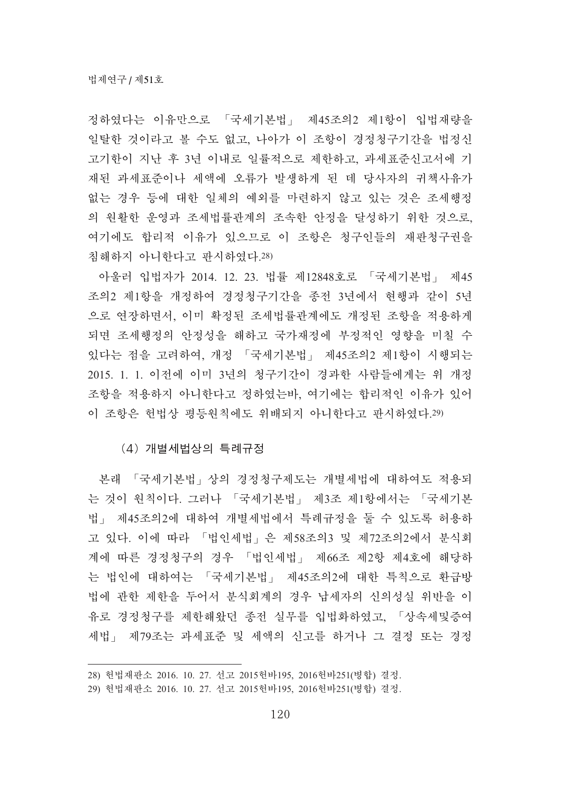정하였다는 이유만으로 「국세기본법」 제45조의2 제1항이 입법재량을 일탈한 것이라고 볼 수도 없고, 나아가 이 조항이 경정청구기간을 법정신 고기한이 지난 후 3년 이내로 일률적으로 제한하고, 과세표준신고서에 기 재된 과세표준이나 세액에 오류가 발생하게 된 데 당사자의 귀책사유가 없는 경우 등에 대한 일체의 예외를 마련하지 않고 있는 것은 조세행정 의 원활한 운영과 조세법률관계의 조속한 안정을 달성하기 위한 것으로, 여기에도 합리적 이유가 있으므로 이 조항은 청구인들의 재판청구권을 침해하지 아니한다고 판시하였다. 28)

아울러 입법자가 2014. 12. 23. 법률 제12848호로 「국세기본법」 제45 조의2 제1항을 개정하여 경정청구기간을 종전 3년에서 현행과 같이 5년 으로 연장하면서, 이미 확정된 조세법률관계에도 개정된 조항을 적용하게 되면 조세행정의 안정성을 해하고 국가재정에 부정적인 영향을 미칠 수 있다는 점을 고려하여, 개정 「국세기본법」 제45조의2 제1항이 시행되는 2015. 1. 1. 이전에 이미 3년의 청구기간이 경과한 사람들에게는 위 개정 조항을 적용하지 아니한다고 정하였는바, 여기에는 합리적인 이유가 있어 이 조항은 헌법상 평등원칙에도 위배되지 아니한다고 판시하였다.29)

#### (4) 개별세법상의 특례규정

본래 「국세기본법」 상의 경정청구제도는 개별세법에 대하여도 적용되 는 것이 원칙이다. 그러나 「국세기본법」 제3조 제1항에서는 「국세기본 법」 제45조의2에 대하여 개별세법에서 특례규정을 둘 수 있도록 허용하 고 있다. 이에 따라 「법인세법」은 제58조의3 및 제72조의2에서 분식회 계에 따른 경정청구의 경우 「법인세법」 제66조 제2항 제4호에 해당하 는 법인에 대하여는 「국세기본법」 제45조의2에 대한 특칙으로 환급방 법에 관한 제한을 두어서 분식회계의 경우 납세자의 신의성실 위반을 이 유로 경정청구를 제한해왔던 종전 실무를 입법화하였고, 「상속세및증여 세법 | 제79조는 과세표준 및 세액의 신고를 하거나 그 결정 또는 경정

<sup>28)</sup> 헌법재판소 2016. 10. 27. 선고 2015헌바195, 2016헌바251(병합) 결정.

<sup>29)</sup> 헌법재판소 2016. 10. 27. 선고 2015헌바195, 2016헌바251(병합) 결정.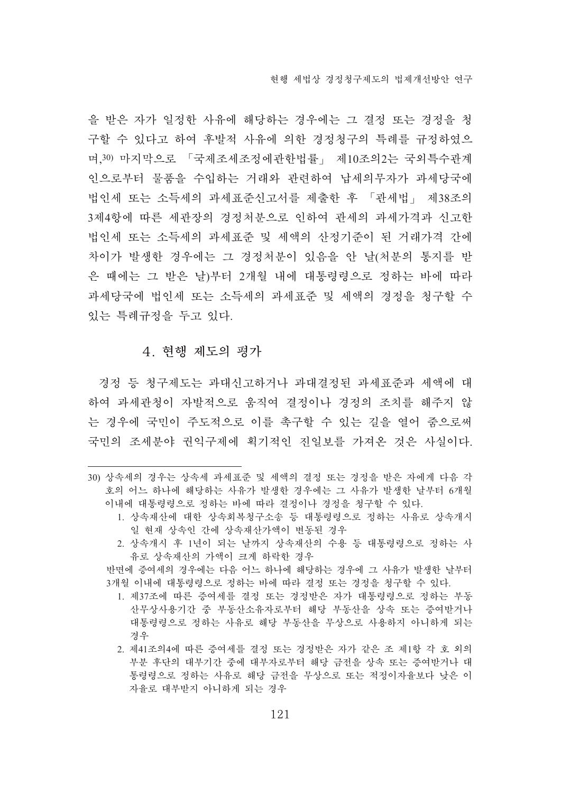을 받은 자가 일정한 사유에 해당하는 경우에는 그 결정 또는 경정을 청 구할 수 있다고 하여 후발적 사유에 의한 경정청구의 특례를 규정하였으 며,30) 마지막으로 「국제조세조정에관한법률」 제10조의2는 국외특수관계 인으로부터 물품을 수입하는 거래와 관련하여 납세의무자가 과세당국에 법인세 또는 소득세의 과세표준신고서를 제출한 후 「관세법」 제38조의 3제4항에 따른 세관장의 경정처분으로 인하여 관세의 과세가격과 신고한 법인세 또는 소득세의 과세표준 및 세액의 산정기준이 된 거래가격 간에 차이가 발생한 경우에는 그 경정처분이 있음을 안 날(처분의 통지를 받 은 때에는 그 받은 날)부터 2개월 내에 대통령령으로 정하는 바에 따라 과세당국에 법인세 또는 소득세의 과세표주 및 세액의 경정을 청구할 수 있는 특례규정을 두고 있다.

#### 4. 현행 제도의 평가

경정 등 청구제도는 과대신고하거나 과대결정된 과세표준과 세액에 대 하여 과세관청이 자발적으로 움직여 결정이나 경정의 조치를 해주지 않 는 경우에 국민이 주도적으로 이를 촉구할 수 있는 길을 열어 줌으로써 국민의 조세분야 권익구제에 획기적인 진일보를 가져온 것은 사실이다.

2. 상속개시 후 1년이 되는 날까지 상속재산의 수용 등 대통령령으로 정하는 사 유로 상속재산의 가액이 크게 하락한 경우

반면에 증여세의 경우에는 다음 어느 하나에 해당하는 경우에 그 사유가 발생한 날부터 3개월 이내에 대통령령으로 정하는 바에 따라 결정 또는 경정을 청구할 수 있다.

- 1. 제37조에 따른 증여세를 결정 또는 경정받은 자가 대통령령으로 정하는 부동 산무상사용기간 중 부동산소유자로부터 해당 부동산을 상속 또는 증여받거나 대통령령으로 정하는 사유로 해당 부동산을 무상으로 사용하지 아니하게 되는 경우
- 2. 제41조의4에 따른 증여세를 결정 또는 경정받은 자가 같은 조 제1항 각 호 외의 부분 후단의 대부기간 중에 대부자로부터 해당 금전을 상속 또는 증여받거나 대 통령령으로 정하는 사유로 해당 금전을 무상으로 또는 적정이자율보다 낮은 이 자율로 대부받지 아니하게 되는 경우

<sup>30)</sup> 상속세의 경우는 상속세 과세표준 및 세액의 결정 또는 경정을 받은 자에게 다음 각 호의 어느 하나에 해당하는 사유가 발생한 경우에는 그 사유가 발생한 날부터 6개월 이내에 대통령령으로 정하는 바에 따라 결정이나 경정을 청구할 수 있다.

<sup>1.</sup> 상속재산에 대한 상속회복청구소송 등 대통령령으로 정하는 사유로 상속개시 일 현재 상속인 간에 상속재산가액이 변동된 경우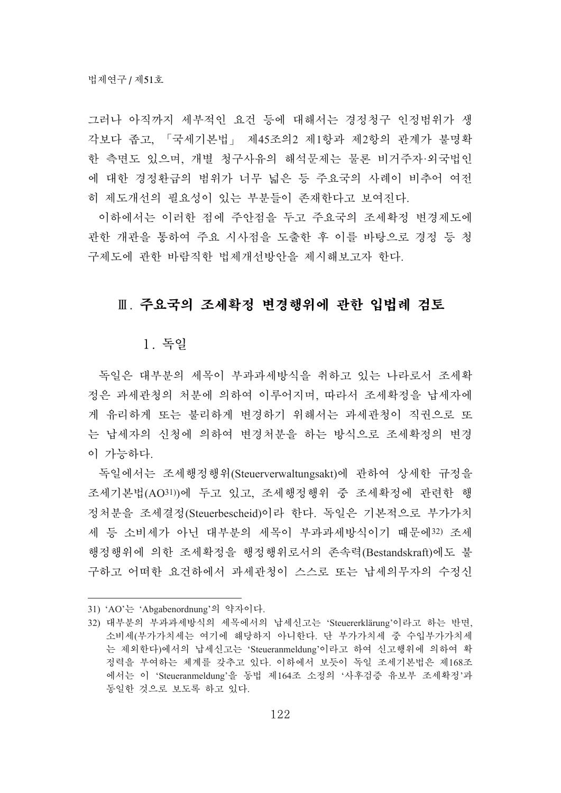그러나 아직까지 세부적인 요건 등에 대해서는 경정청구 인정범위가 생 각보다 좁고, 「국세기본법」 제45조의2 제1항과 제2항의 관계가 불명확 한 측면도 있으며, 개별 청구사유의 해석문제는 물론 비거주자·외국법인 에 대한 경정환급의 범위가 너무 넓은 등 주요국의 사례이 비추어 여전 히 제도개선의 필요성이 있는 부분들이 존재한다고 보여진다.

이하에서는 이러한 점에 주안점을 두고 주요국의 조세확정 변경제도에 관한 개관을 통하여 주요 시사점을 도출한 후 이를 바탕으로 경정 등 청 구제도에 관한 바람직한 법제개선방안을 제시해보고자 한다.

### Ⅲ. 주요국의 조세확정 변경행위에 관한 입법례 검토

#### 1. 독일

독일은 대부분의 세목이 부과과세방식을 취하고 있는 나라로서 조세확 정은 과세관청의 처분에 의하여 이루어지며, 따라서 조세확정을 납세자에 게 유리하게 또는 불리하게 변경하기 위해서는 과세관청이 직권으로 또 는 납세자의 신청에 의하여 변경처분을 하는 방식으로 조세확정의 변경 이 가능하다.

독일에서는 조세행정행위(Steuerverwaltungsakt)에 관하여 상세한 규정을 조세기본법(AO31))에 두고 있고, 조세행정행위 중 조세확정에 관련한 행 정처분을 조세결정(Steuerbescheid)이라 한다. 독일은 기본적으로 부가가치 세 등 소비세가 아닌 대부분의 세목이 부과과세방식이기 때문에32) 조세 행정행위에 의한 조세확정을 행정행위로서의 존속력(Bestandskraft)에도 불 구하고 어떠한 요건하에서 과세관청이 스스로 또는 납세의무자의 수정신

<sup>31) &#</sup>x27;AO'는 'Abgabenordnung'의 약자이다.

<sup>32)</sup> 대부분의 부과과세방식의 세목에서의 납세신고는 'Steuererklärung'이라고 하는 반면, 소비세(부가가치세는 여기에 해당하지 아니한다. 단 부가가치세 중 수입부가가치세 는 제외한다)에서의 납세신고는 'Steueranmeldung'이라고 하여 신고행위에 의하여 확 정력을 부여하는 체계를 갖추고 있다. 이하에서 보듯이 독일 조세기본법은 제168조 에서는 이 'Steueranmeldung'을 동법 제164조 소정의 '사후검증 유보부 조세확정'과 동일한 것으로 보도록 하고 있다.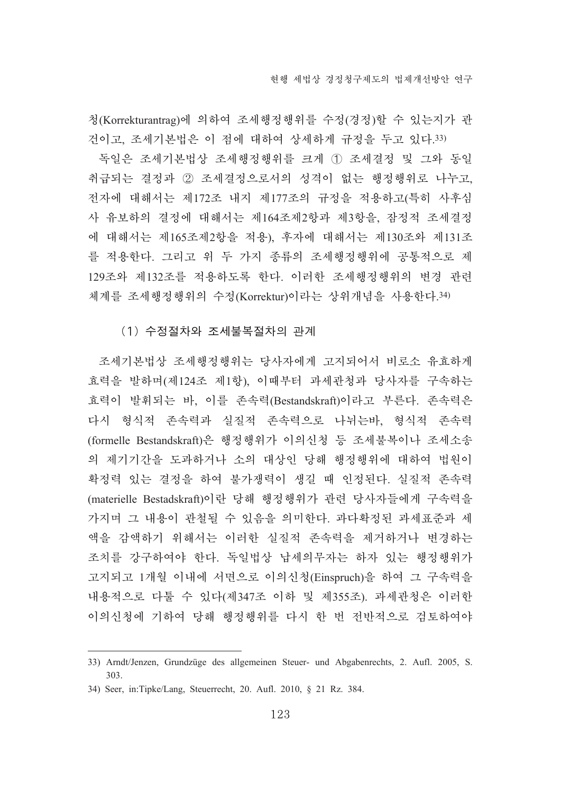청(Korrekturantrag)에 의하여 조세행정행위를 수정(경정)할 수 있는지가 관

건이고, 조세기본법은 이 점에 대하여 상세하게 규정을 두고 있다.33) 독일은 조세기본법상 조세행정행위를 크게 ① 조세결정 및 그와 동일 취급되는 결정과 ② 조세결정으로서의 성격이 없는 행정행위로 나누고, 전자에 대해서는 제172조 내지 제177조의 규정을 적용하고(특히 사후심 사 유보하의 결정에 대해서는 제164조제2항과 제3항을, 잠정적 조세결정 에 대해서는 제165조제2항을 적용), 후자에 대해서는 제130조와 제131조 를 적용한다. 그리고 위 두 가지 종류의 조세행정행위에 공통적으로 제 129조와 제132조를 적용하도록 한다. 이러한 조세행정행위의 변경 관련 체계를 조세행정행위의 수정(Korrektur)이라는 상위개념을 사용한다.34)

#### (1) 수정절차와 조세불복절차의 관계

조세기본법상 조세행정행위는 당사자에게 고지되어서 비로소 유효하게 효력을 발하며(제124조 제1항), 이때부터 과세관청과 당사자를 구속하는 효력이 발휘되는 바, 이를 존속력(Bestandskraft)이라고 부른다. 존속력은 다시 형식적 존속력과 실질적 존속력으로 나뉘는바, 형식적 존속력 (formelle Bestandskraft)은 행정행위가 이의신청 등 조세불복이나 조세소송 의 제기기간을 도과하거나 소의 대상인 당해 행정행위에 대하여 법원이 확정력 있는 결정을 하여 불가쟁력이 생길 때 인정된다. 실질적 존속력 (materielle Bestadskraft)이란 당해 행정행위가 관련 당사자들에게 구속력을 가지며 그 내용이 관철될 수 있음을 의미한다. 과다확정된 과세표준과 세 액을 감액하기 위해서는 이러한 실질적 존속력을 제거하거나 변경하는 조치를 강구하여야 한다. 독일법상 납세의무자는 하자 있는 행정행위가 고지되고 1개월 이내에 서면으로 이의신청(Einspruch)을 하여 그 구속력을 내용적으로 다툴 수 있다(제347조 이하 및 제355조). 과세관청은 이러한 이의신청에 기하여 당해 행정행위를 다시 한 번 전반적으로 검토하여야

<sup>33)</sup> Arndt/Jenzen, Grundzüge des allgemeinen Steuer- und Abgabenrechts, 2. Aufl. 2005, S. 303.

<sup>34)</sup> Seer, in:Tipke/Lang, Steuerrecht, 20. Aufl. 2010, § 21 Rz. 384.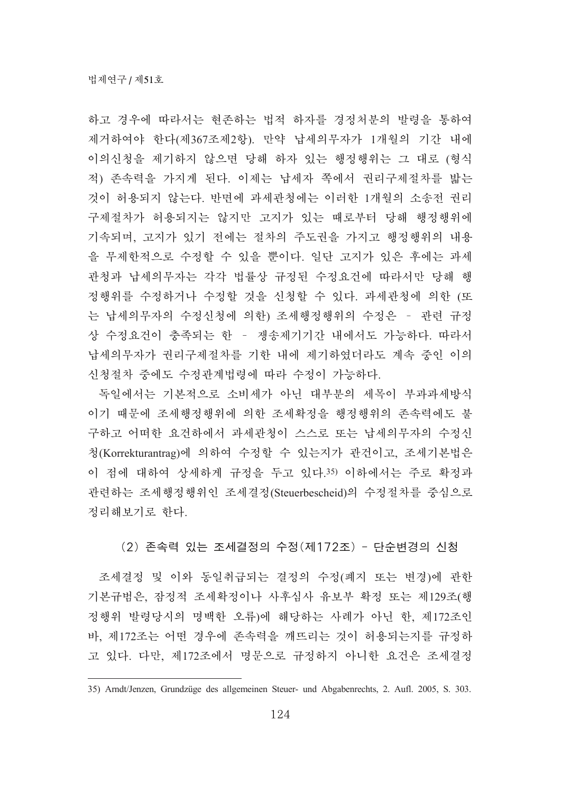하고 경우에 따라서는 현존하는 법적 하자를 경정처부의 발령을 통하여 제거하여야 한다(제367조제2항). 만약 납세의무자가 1개월의 기간 내에 이의신청을 제기하지 않으면 당해 하자 있는 행정행위는 그 대로 (형식 적) 존속력을 가지게 된다. 이제는 납세자 쪽에서 권리구제절차를 밟는 것이 허용되지 않는다. 반면에 과세관청에는 이러한 1개월의 소송전 권리 구제절차가 허용되지는 않지만 고지가 있는 때로부터 당해 행정행위에 기속되며, 고지가 있기 전에는 절차의 주도권을 가지고 행정행위의 내용 을 무제한적으로 수정할 수 있을 뿐이다. 일단 고지가 있은 후에는 과세 관청과 납세의무자는 각각 법률상 규정된 수정요건에 따라서만 당해 행 정행위를 수정하거나 수정할 것을 신청할 수 있다. 과세관청에 의한 (또 는 납세의무자의 수정신청에 의한) 조세행정행위의 수정은 - 관련 규정 상 수정요건이 충족되는 한 - 쟁송제기기간 내에서도 가능하다. 따라서 납세의무자가 권리구제절차를 기한 내에 제기하였더라도 계속 중인 이의 신청절차 중에도 수정관계법령에 따라 수정이 가능하다.

독일에서는 기본적으로 소비세가 아닌 대부분의 세목이 부과과세방식 이기 때문에 조세행정행위에 의한 조세확정을 행정행위의 존속력에도 불 구하고 어떠한 요건하에서 과세관청이 스스로 또는 납세의무자의 수정신 청(Korrekturantrag)에 의하여 수정할 수 있는지가 관건이고, 조세기본법은 이 점에 대하여 상세하게 규정을 두고 있다.35) 이하에서는 주로 확정과 관련하는 조세행정행위인 조세결정(Steuerbescheid)의 수정절차를 중심으로 정리해보기로 하다.

(2) 존속력 있는 조세결정의 수정(제172조) - 단순변경의 신청

조세결정 및 이와 동일취급되는 결정의 수정(폐지 또는 변경)에 관한 기본규범은, 잠정적 조세확정이나 사후심사 유보부 확정 또는 제129조(행 정행위 발령당시의 명백한 오류)에 해당하는 사례가 아닌 한, 제172조인 바, 제172조는 어떤 경우에 존속력을 깨뜨리는 것이 허용되는지를 규정하 고 있다. 다만, 제172조에서 명문으로 규정하지 아니한 요건은 조세결정

<sup>35)</sup> Arndt/Jenzen, Grundzüge des allgemeinen Steuer- und Abgabenrechts, 2. Aufl. 2005, S. 303.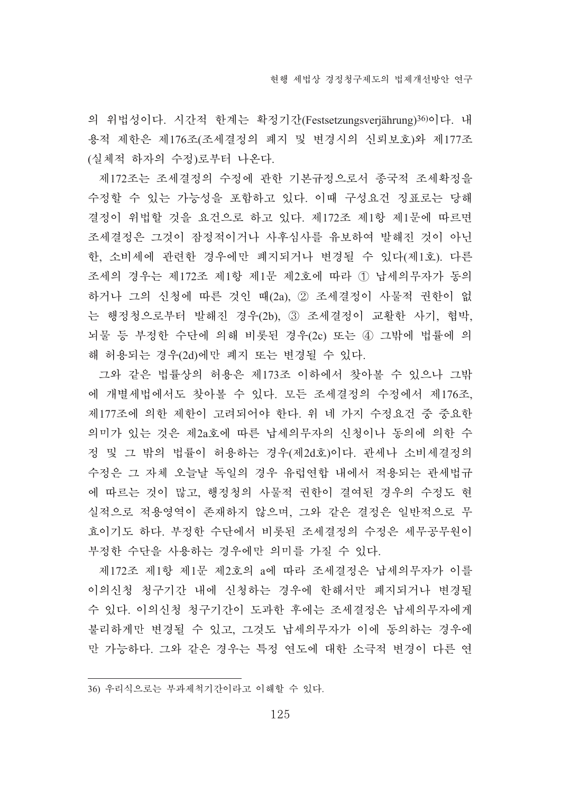의 위법성이다. 시간적 한계는 확정기간(Festsetzungsverjährung)36)이다. 내 용적 제한은 제176조(조세결정의 폐지 및 변경시의 신뢰보호)와 제177조 (실체적 하자의 수정)로부터 나온다.

제172조는 조세결정의 수정에 관한 기본규정으로서 종국적 조세확정을 수정할 수 있는 가능성을 포함하고 있다. 이때 구성요건 징표로는 당해 결정이 위법할 것을 요건으로 하고 있다. 제172조 제1항 제1문에 따르면 조세결정은 그것이 잠정적이거나 사후심사를 유보하여 발해진 것이 아닌 한, 소비세에 관련한 경우에만 폐지되거나 변경될 수 있다(제1호). 다른 조세의 경우는 제172조 제1항 제1문 제2호에 따라 ① 납세의무자가 동의 하거나 그의 신청에 따른 것인 때(2a), 2 조세결정이 사물적 권한이 없 는 행정청으로부터 발해진 경우(2b), 3 조세결정이 교활한 사기, 협박, 뇌물 등 부정한 수단에 의해 비롯된 경우(2c) 또는 4) 그밖에 법률에 의 해 허용되는 경우(2d)에만 폐지 또는 변경될 수 있다.

그와 같은 법률상의 허용은 제173조 이하에서 찾아볼 수 있으나 그밖 에 개별세법에서도 찾아볼 수 있다. 모든 조세결정의 수정에서 제176조, 제177조에 의한 제한이 고려되어야 한다. 위 네 가지 수정요건 중 중요한 의미가 있는 것은 제2a호에 따른 납세의무자의 신청이나 동의에 의한 수 정 및 그 밖의 법률이 허용하는 경우(제2d호)이다. 관세나 소비세결정의 수정은 그 자체 오늘날 독일의 경우 유럽연합 내에서 적용되는 관세법규 에 따르는 것이 많고, 행정청의 사물적 권한이 결여된 경우의 수정도 현 실적으로 적용영역이 존재하지 않으며, 그와 같은 결정은 일반적으로 무 효이기도 하다. 부정한 수단에서 비롯된 조세결정의 수정은 세무공무원이 부정한 수단을 사용하는 경우에만 의미를 가질 수 있다.

제172조 제1항 제1문 제2호의 a에 따라 조세결정은 납세의무자가 이를 이의신청 청구기간 내에 신청하는 경우에 한해서만 폐지되거나 변경될 수 있다. 이의신청 청구기간이 도과한 후에는 조세결정은 납세의무자에게 불리하게만 변경될 수 있고, 그것도 납세의무자가 이에 동의하는 경우에 만 가능하다. 그와 같은 경우는 특정 연도에 대한 소극적 변경이 다른 연

<sup>36)</sup> 우리식으로는 부과제척기간이라고 이해할 수 있다.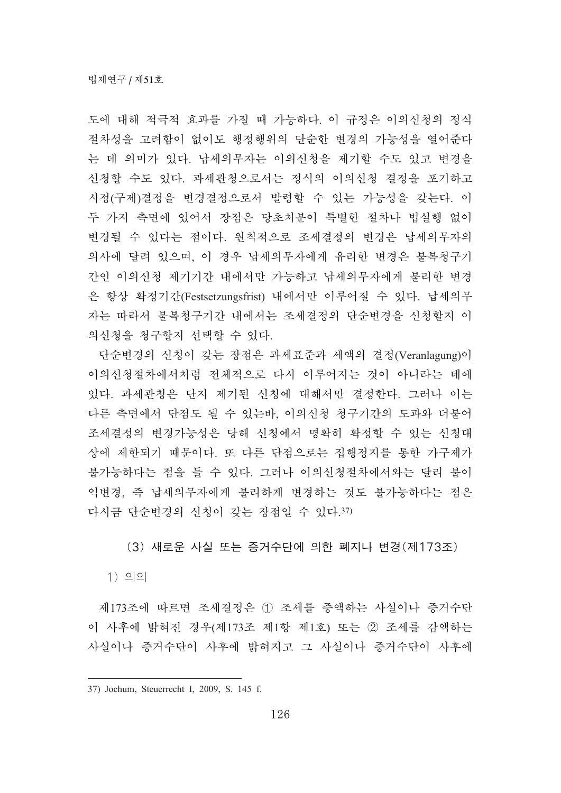도에 대해 적극적 효과를 가질 때 가능하다. 이 규정은 이의신청의 정식 절차성을 고려함이 없이도 행정행위의 단순한 변경의 가능성을 열어준다 는 데 의미가 있다. 납세의무자는 이의신청을 제기할 수도 있고 변경을 신청할 수도 있다. 과세관청으로서는 정식의 이의신청 결정을 포기하고 시정(구제)결정을 변경결정으로서 발령할 수 있는 가능성을 갖는다. 이 두 가지 측면에 있어서 장점은 당초처분이 특별한 절차나 법실행 없이 변경될 수 있다는 점이다. 원칙적으로 조세결정의 변경은 납세의무자의 의사에 달려 있으며, 이 경우 납세의무자에게 유리한 변경은 불복청구기 간인 이의신청 제기기간 내에서만 가능하고 납세의무자에게 불리한 변경 은 항상 확정기간(Festsetzungsfrist) 내에서만 이루어질 수 있다. 납세의무 자는 따라서 불복청구기간 내에서는 조세결정의 단순변경을 신청할지 이 의신청을 청구할지 선택할 수 있다.

단순변경의 신청이 갖는 장점은 과세표준과 세액의 결정(Veranlagung)이 이의신청절차에서처럼 전체적으로 다시 이루어지는 것이 아니라는 데에 있다. 과세관청은 단지 제기된 신청에 대해서만 결정한다. 그러나 이는 다른 측면에서 단점도 될 수 있는바, 이의신청 청구기간의 도과와 더불어 조세결정의 변경가능성은 당해 신청에서 명확히 확정할 수 있는 신청대 상에 제한되기 때문이다. 또 다른 단점으로는 집행정지를 통한 가구제가 불가능하다는 점을 들 수 있다. 그러나 이의신청절차에서와는 달리 불이 익변경, 즉 납세의무자에게 불리하게 변경하는 것도 불가능하다는 점은 다시금 단순변경의 신청이 갖는 장점일 수 있다.37)

(3) 새로운 사실 또는 증거수단에 의한 폐지나 변경(제173조)

1) 의의

제173조에 따르면 조세결정은 ① 조세를 증액하는 사실이나 증거수단 이 사후에 밝혀진 경우(제173조 제1항 제1호) 또는 2 조세를 감액하는 자실이나 증거수단이 사후에 밝혀지고 그 사실이나 증거수단이 사후에

<sup>37)</sup> Jochum, Steuerrecht I, 2009, S. 145 f.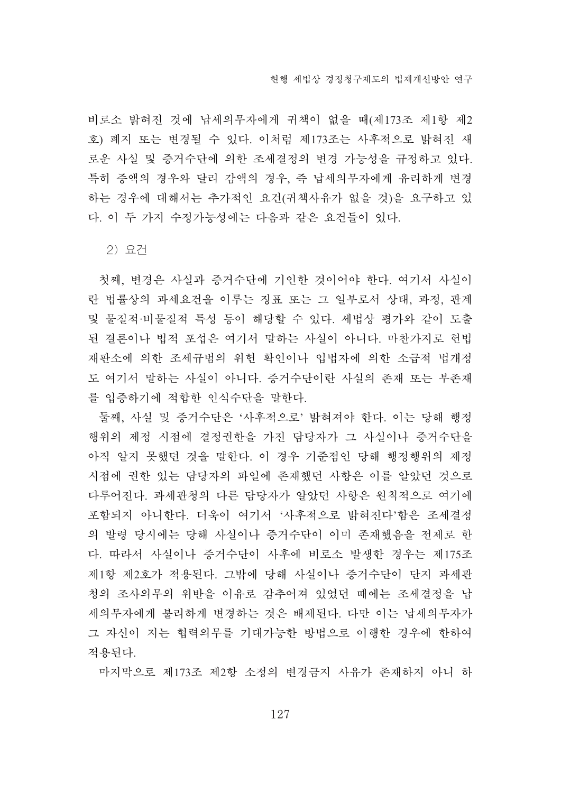비로소 밝혀진 것에 납세의무자에게 귀책이 없을 때(제173조 제1항 제2 호) 폐지 또는 변경될 수 있다. 이처럼 제173조는 사후적으로 밝혀진 새 로운 사실 및 증거수단에 의한 조세결정의 변경 가능성을 규정하고 있다. 특히 증액의 경우와 달리 감액의 경우, 즉 납세의무자에게 유리하게 변경 하는 경우에 대해서는 추가적인 요건(귀책사유가 없을 것)을 요구하고 있 다. 이 두 가지 수정가능성에는 다음과 같은 요건들이 있다.

2) 요건

첫째, 변경은 사실과 증거수단에 기인한 것이어야 한다. 여기서 사실이 란 법률상의 과세요건을 이루는 징표 또는 그 일부로서 상태, 과정, 관계 및 물질적·비물질적 특성 등이 해당할 수 있다. 세법상 평가와 같이 도출 된 결론이나 법적 포섭은 여기서 말하는 사실이 아니다. 마찬가지로 헌법 재판소에 의한 조세규범의 위헌 확인이나 입법자에 의한 소급적 법개정 도 여기서 말하는 사실이 아니다. 증거수단이란 사실의 존재 또는 부존재 를 입증하기에 적합한 인식수단을 말한다.

둘째, 사실 및 증거수단은 '사후적으로' 밝혀져야 한다. 이는 당해 행정 행위의 제정 시점에 결정권한을 가진 담당자가 그 사실이나 증거수단을 아직 알지 못했던 것을 말한다. 이 경우 기준점인 당해 행정행위의 제정 시점에 권한 있는 담당자의 파일에 존재했던 사항은 이를 알았던 것으로 다루어진다. 과세관청의 다른 담당자가 알았던 사항은 원칙적으로 여기에 포함되지 아니한다. 더욱이 여기서 '사후적으로 밝혀진다'함은 조세결정 의 발령 당시에는 당해 사실이나 증거수단이 이미 존재했음을 전제로 한 다. 따라서 사실이나 증거수단이 사후에 비로소 발생한 경우는 제175조 제1항 제2호가 적용된다. 그밖에 당해 사실이나 증거수단이 단지 과세관 청의 조사의무의 위반을 이유로 감추어져 있었던 때에는 조세결정을 납 세의무자에게 불리하게 변경하는 것은 배제된다. 다만 이는 납세의무자가 그 자신이 지는 협력의무를 기대가능한 방법으로 이행한 경우에 한하여 적용된다.

마지막으로 제173조 제2항 소정의 변경금지 사유가 존재하지 아니 하

127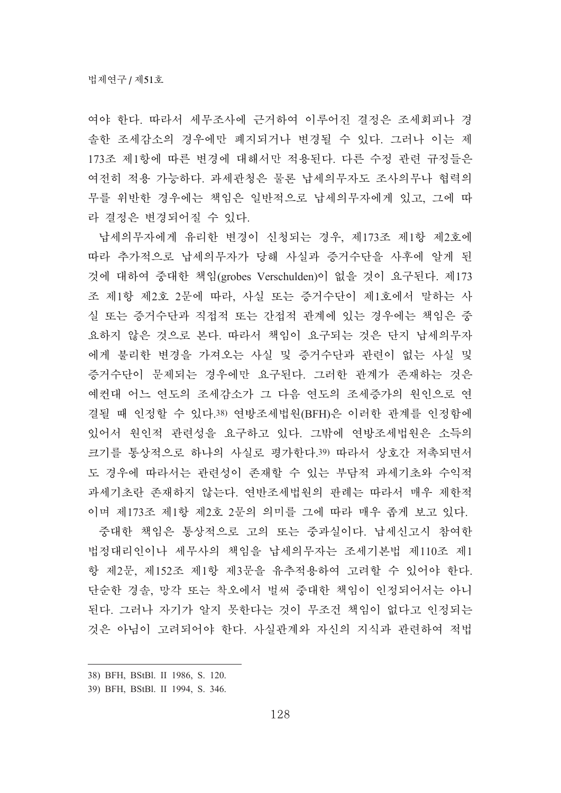여야 한다. 따라서 세무조사에 근거하여 이루어진 결정은 조세회피나 경 솔한 조세감소의 경우에만 폐지되거나 변경될 수 있다. 그러나 이는 제 173조 제1항에 따른 변경에 대해서만 적용된다. 다른 수정 관련 규정들은 여전히 적용 가능하다. 과세관청은 물론 납세의무자도 조사의무나 협력의 무를 위반한 경우에는 책임은 일반적으로 납세의무자에게 있고, 그에 따 라 결정은 변경되어질 수 있다.

납세의무자에게 유리한 변경이 신청되는 경우, 제173조 제1항 제2호에 따라 추가적으로 납세의무자가 당해 사실과 증거수단을 사후에 알게 된 것에 대하여 중대한 책임(grobes Verschulden)이 없을 것이 요구된다. 제173 조 제1항 제2호 2문에 따라, 사실 또는 증거수단이 제1호에서 말하는 사 실 또는 증거수단과 직접적 또는 간접적 관계에 있는 경우에는 책임은 중 요하지 않은 것으로 본다. 따라서 책임이 요구되는 것은 단지 납세의무자 에게 불리한 변경을 가져오는 사실 및 증거수단과 관련이 없는 사실 및 증거수단이 문제되는 경우에만 요구된다. 그러한 관계가 존재하는 것은 예컨대 어느 연도의 조세감소가 그 다음 연도의 조세증가의 원인으로 연 결될 때 인정할 수 있다.38) 연방조세법원(BFH)은 이러한 관계를 인정함에 있어서 원인적 관련성을 요구하고 있다. 그밖에 연방조세법원은 소득의 크기를 통상적으로 하나의 사실로 평가한다.39) 따라서 상호간 저촉되면서 도 경우에 따라서는 관련성이 존재할 수 있는 부담적 과세기초와 수익적 과세기초란 존재하지 않는다. 연반조세법원의 판례는 따라서 매우 제한적 이며 제173조 제1항 제2호 2문의 의미를 그에 따라 매우 좁게 보고 있다.

중대한 책임은 통상적으로 고의 또는 중과실이다. 납세신고시 참여한 범정대리인이나 세무사의 책임을 납세의무자는 조세기본법 제110조 제1 항 제2문, 제152조 제1항 제3문을 유추적용하여 고려할 수 있어야 한다. 단순한 경솔, 망각 또는 착오에서 벌써 중대한 책임이 인정되어서는 아니 된다. 그러나 자기가 알지 못한다는 것이 무조건 책임이 없다고 인정되는 것은 아님이 고려되어야 한다. 사실관계와 자신의 지식과 관련하여 적법

<sup>38)</sup> BFH, BStBl. II 1986, S. 120.

<sup>39)</sup> BFH, BStBl. II 1994, S. 346.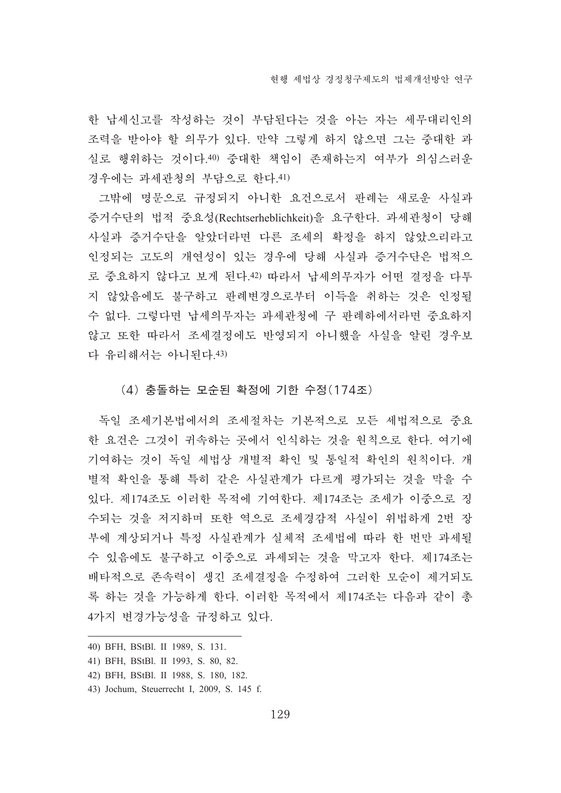한 납세신고를 작성하는 것이 부담된다는 것을 아는 자는 세무대리인의 조력을 받아야 할 의무가 있다. 만약 그렇게 하지 않으면 그는 중대한 과 실로 행위하는 것이다.40) 중대한 책임이 존재하는지 여부가 의심스러운 경우에는 과세관청의 부담으로 한다.41)

그밖에 명문으로 규정되지 아니한 요건으로서 판례는 새로운 사실과 증거수단의 법적 중요성(Rechtserheblichkeit)을 요구한다. 과세관청이 당해 사실과 증거수단을 알았더라면 다른 조세의 확정을 하지 않았으리라고 인정되는 고도의 개연성이 있는 경우에 당해 사실과 증거수단은 법적으 로 중요하지 않다고 보게 된다.42) 따라서 납세의무자가 어떤 결정을 다투 지 않았음에도 불구하고 판례변경으로부터 이득을 취하는 것은 인정될 수 없다. 그렇다면 납세의무자는 과세관청에 구 판례하에서라면 중요하지 않고 또한 따라서 조세결정에도 반영되지 아니했을 사실을 알린 경우보 다 유리해서는 아니된다. 43)

#### (4) 충돌하는 모순된 확정에 기한 수정(174조)

독일 조세기본법에서의 조세절차는 기본적으로 모든 세법적으로 중요 한 요건은 그것이 귀속하는 곳에서 인식하는 것을 원칙으로 한다. 여기에 기여하는 것이 독일 세법상 개별적 확인 및 통일적 확인의 원칙이다. 개 별적 확인을 통해 특히 같은 사실관계가 다르게 평가되는 것을 막을 수 있다. 제174조도 이러한 목적에 기여한다. 제174조는 조세가 이중으로 징 수되는 것을 저지하며 또한 역으로 조세경감적 사실이 위법하게 2번 장 부에 계상되거나 특정 사실관계가 실체적 조세법에 따라 한 번만 과세될 수 있음에도 불구하고 이중으로 과세되는 것을 막고자 한다. 제174조는 배타적으로 존속력이 생긴 조세결정을 수정하여 그러한 모순이 제거되도 록 하는 것을 가능하게 한다. 이러한 목적에서 제174조는 다음과 같이 총 4가지 변경가능성을 규정하고 있다.

<sup>40)</sup> BFH, BStBl. II 1989, S. 131.

<sup>41)</sup> BFH, BStBl. II 1993, S. 80, 82.

<sup>42)</sup> BFH, BStBl. II 1988, S. 180, 182.

<sup>43)</sup> Jochum, Steuerrecht I, 2009, S. 145 f.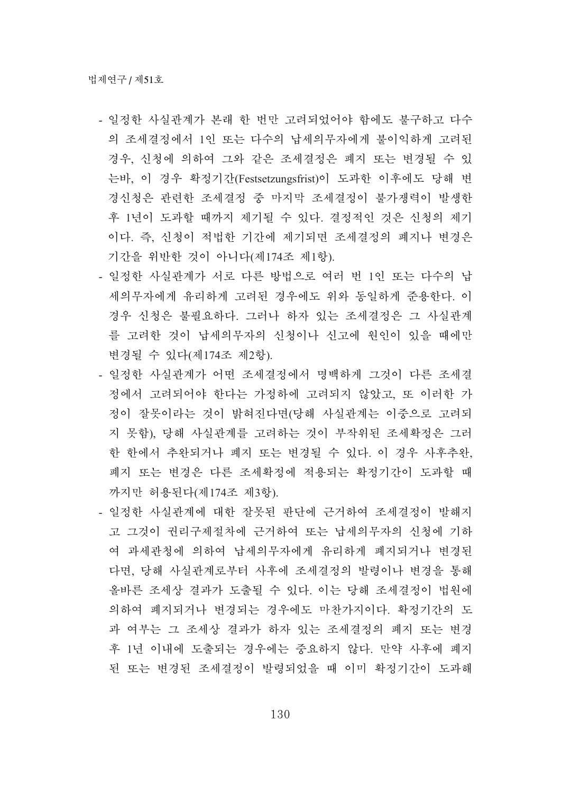- 일정한 사실관계가 본래 한 번만 고려되었어야 함에도 불구하고 다수 의 조세결정에서 1인 또는 다수의 납세의무자에게 불이익하게 고려된 경우, 신청에 의하여 그와 같은 조세결정은 폐지 또는 변경될 수 있 는바, 이 경우 확정기간(Festsetzungsfrist)이 도과한 이후에도 당해 변 경신청은 관련한 조세결정 중 마지막 조세결정이 불가쟁력이 발생한 후 1년이 도과할 때까지 제기될 수 있다. 결정적인 것은 신청의 제기 이다. 즉, 신청이 적법한 기간에 제기되면 조세결정의 폐지나 변경은 기간을 위반한 것이 아니다(제174조 제1항).
- 일정한 사실관계가 서로 다른 방법으로 여러 번 1인 또는 다수의 납 세의무자에게 유리하게 고려된 경우에도 위와 동일하게 주용하다. 이 경우 신청은 불필요하다. 그러나 하자 있는 조세결정은 그 사실관계 를 고려한 것이 납세의무자의 신청이나 신고에 원인이 있을 때에만 변경될 수 있다(제174조 제2항).
- 일정한 사실관계가 어떤 조세결정에서 명백하게 그것이 다른 조세결 정에서 고려되어야 한다는 가정하에 고려되지 않았고, 또 이러한 가 정이 잘못이라는 것이 밝혀진다면(당해 사실관계는 이중으로 고려되 지 못함), 당해 사실관계를 고려하는 것이 부작위된 조세확정은 그러 한 한에서 추완되거나 폐지 또는 변경될 수 있다. 이 경우 사후추완, 폐지 또는 변경은 다른 조세확정에 적용되는 확정기가이 도과할 때 까지만 허용된다(제174조 제3항).
- 일정한 사실관계에 대한 잘못된 판단에 근거하여 조세결정이 발해지 고 그것이 권리구제절차에 근거하여 또는 납세의무자의 신청에 기하 여 과세관청에 의하여 납세의무자에게 유리하게 폐지되거나 변경된 다면, 당해 사실관계로부터 사후에 조세결정의 발령이나 변경을 통해 올바른 조세상 결과가 도출될 수 있다. 이는 당해 조세결정이 법원에 의하여 폐지되거나 변경되는 경우에도 마찬가지이다. 확정기간의 도 과 여부는 그 조세상 결과가 하자 있는 조세결정의 폐지 또는 변경 후 1년 이내에 도출되는 경우에는 중요하지 않다. 만약 사후에 폐지 된 또는 변경된 조세결정이 발령되었을 때 이미 확정기간이 도과해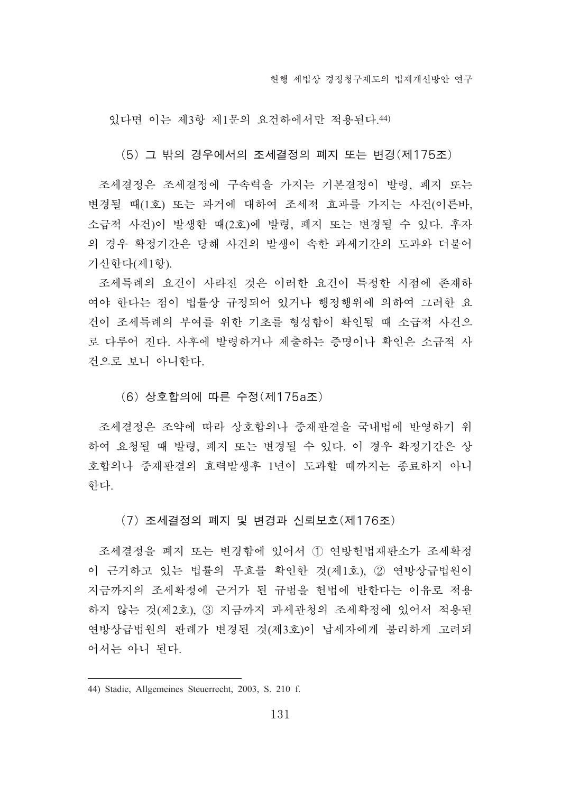잉다면 이는 제3항 제1무의 요건하에서만 적용되다 44)

(5) 그 밖의 경우에서의 조세결정의 폐지 또는 변경(제175조)

조세결정은 조세결정에 구속력을 가지는 기본결정이 발령, 폐지 또는 변경될 때(1호) 또는 과거에 대하여 조세적 효과를 가지는 사건(이른바, 소급적 사건)이 발생한 때(2호)에 발령. 폐지 또는 변경될 수 있다. 후자 의 경우 확정기간은 당해 사건의 발생이 속한 과세기간의 도과와 더불어 기산한다(제1항).

조세특례의 요건이 사라진 것은 이러한 요건이 특정한 시점에 존재하 여야 한다는 점이 법률상 규정되어 있거나 행정행위에 의하여 그러한 요 건이 조세특례의 부여를 위한 기초를 형성함이 확인될 때 소급적 사건으 로 다루어 진다. 사후에 발령하거나 제출하는 증명이나 확인은 소급적 사 건으로 보니 아니하다.

(6) 상호합의에 따른 수정(제175a조)

조세결정은 조약에 따라 상호합의나 중재판결을 국내법에 반영하기 위 하여 요청될 때 발령, 폐지 또는 변경될 수 있다. 이 경우 확정기간은 상 호합의나 중재판결의 효력발생후 1년이 도과할 때까지는 종료하지 아니 한다.

(7) 조세결정의 폐지 및 변경과 신뢰보호(제176조)

조세결정을 폐지 또는 변경함에 있어서 ① 여방헌법재판소가 조세확정 이 근거하고 있는 법률의 무효를 확인한 것(제1호), ② 연방상급법원이 지금까지의 조세확정에 근거가 된 규범을 헌법에 반한다는 이유로 적용 하지 않는 것(제2호), ③ 지금까지 과세관청의 조세확정에 있어서 적용된 연방상급법원의 판례가 변경된 것(제3호)이 납세자에게 불리하게 고려되 어서는 아니 된다.

<sup>44)</sup> Stadie, Allgemeines Steuerrecht, 2003, S. 210 f.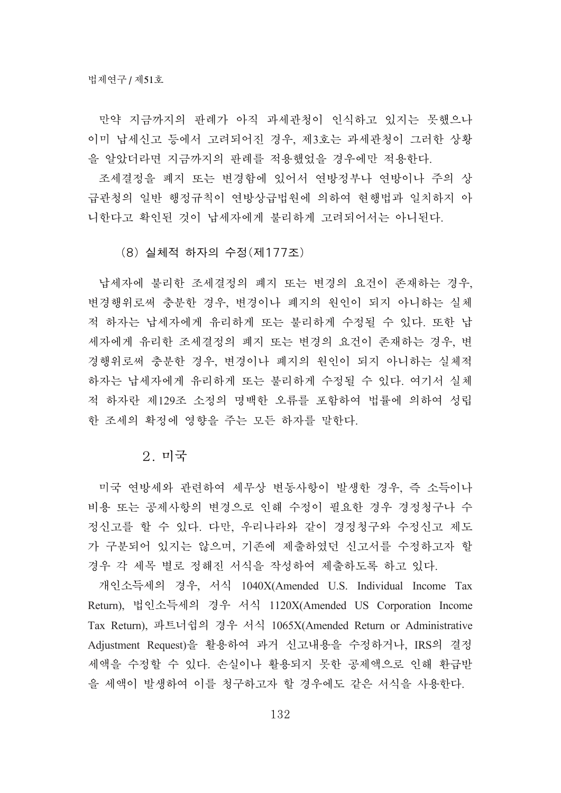만약 지금까지의 판례가 아직 과세관청이 인식하고 있지는 못했으나 이미 납세신고 등에서 고려되어진 경우, 제3호는 과세관청이 그러한 상황 을 알았더라면 지금까지의 판례를 적용했었을 경우에만 적용한다.

조세결정을 폐지 또는 변경함에 있어서 연방정부나 연방이나 주의 상 급관청의 일반 행정규칙이 연방상급법원에 의하여 현행법과 일치하지 아 니한다고 확인된 것이 납세자에게 불리하게 고려되어서는 아니된다.

(8) 실체적 하자의 수정(제177조)

납세자에 불리한 조세결정의 폐지 또는 변경의 요건이 존재하는 경우, 변경행위로써 충분한 경우, 변경이나 폐지의 원인이 되지 아니하는 실체 적 하자는 납세자에게 유리하게 또는 불리하게 수정될 수 있다. 또한 납 세자에게 유리한 조세결정의 폐지 또는 변경의 요건이 존재하는 경우, 변 경행위로써 충분한 경우, 변경이나 폐지의 원인이 되지 아니하는 실체적 하자는 납세자에게 유리하게 또는 불리하게 수정될 수 있다. 여기서 실체 적 하자란 제129조 소정의 명백한 오류를 포함하여 법률에 의하여 성립 한 조세의 확정에 영향을 주는 모든 하자를 말한다.

 $2.$  미국

미국 연방세와 관련하여 세무상 변동사항이 발생한 경우, 즉 소득이나 비용 또는 공제사항의 변경으로 인해 수정이 필요한 경우 경정청구나 수 정신고를 할 수 있다. 다만, 우리나라와 같이 경정청구와 수정신고 제도 가 구분되어 있지는 않으며, 기존에 제출하였던 신고서를 수정하고자 할 경우 각 세목 별로 정해진 서식을 작성하여 제출하도록 하고 있다.

개인소득세의 경우, 서식 1040X(Amended U.S. Individual Income Tax Return), 법인소득세의 경우 서식 1120X(Amended US Corporation Income Tax Return), 파트너쉽의 경우 서식 1065X(Amended Return or Administrative Adjustment Request)을 활용하여 과거 신고내용을 수정하거나, IRS의 결정 세액을 수정할 수 있다. 손실이나 활용되지 못한 공제액으로 인해 환급받 을 세액이 발생하여 이를 청구하고자 할 경우에도 같은 서식을 사용한다.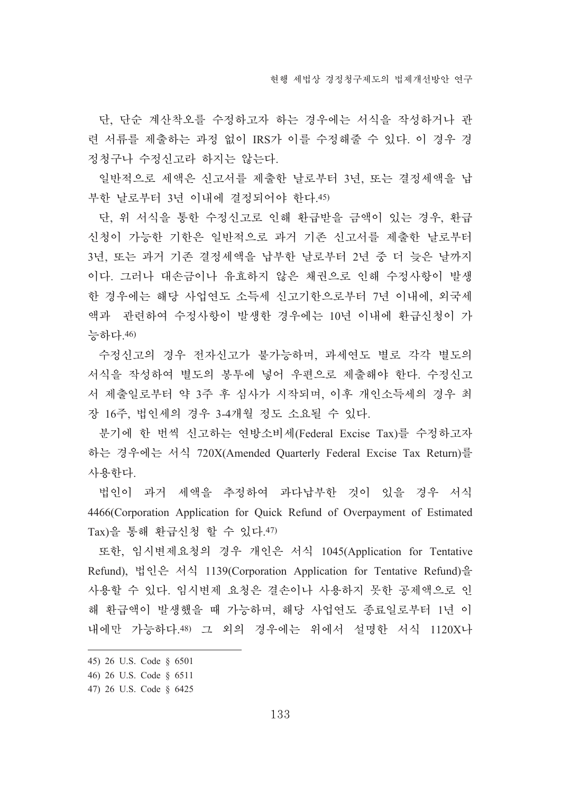단, 단순 계산착오를 수정하고자 하는 경우에는 서식을 작성하거나 관 련 서류를 제출하는 과정 없이 IRS가 이를 수정해줄 수 있다. 이 경우 경 정청구나 수정신고라 하지는 않는다.

일반적으로 세액은 신고서를 제출한 날로부터 3년, 또는 결정세액을 납 부한 날로부터 3년 이내에 결정되어야 한다.45)

단, 위 서식을 통한 수정신고로 인해 환급받을 금액이 있는 경우, 환급 신청이 가능한 기한은 일반적으로 과거 기존 신고서를 제출한 날로부터 3년, 또는 과거 기존 결정세액을 납부한 날로부터 2년 중 더 늦은 날까지 이다. 그러나 대손금이나 유효하지 않은 채권으로 인해 수정사항이 발생 한 경우에는 해당 사업연도 소득세 신고기한으로부터 7년 이내에, 외국세 액과 관련하여 수정사항이 발생한 경우에는 10년 이내에 환급신청이 가 능하다 46)

수정신고의 경우 전자신고가 불가능하며, 과세연도 별로 각각 별도의 서식을 작성하여 별도의 봉투에 넣어 우편으로 제출해야 한다. 수정신고 서 제출일로부터 약 3주 후 심사가 시작되며, 이후 개인소득세의 경우 최 장 16주, 법인세의 경우 3-4개월 정도 소요될 수 있다.

분기에 한 번씩 신고하는 연방소비세(Federal Excise Tax)를 수정하고자 하는 경우에는 서식 720X(Amended Quarterly Federal Excise Tax Return)를 사용한다.

법인이 과거 세액을 추정하여 과다납부한 것이 있을 경우 서식 4466(Corporation Application for Quick Refund of Overpayment of Estimated Tax)을 통해 환급신청 할 수 있다. 47)

또한, 임시변제요청의 경우 개인은 서식 1045(Application for Tentative Refund), 법인은 서식 1139(Corporation Application for Tentative Refund)을 사용할 수 있다. 임시변제 요청은 결손이나 사용하지 못한 공제액으로 인 해 환급액이 발생했을 때 가능하며, 해당 사업연도 종료일로부터 1년 이 내에만 가능하다.48) 그 외의 경우에는 위에서 설명한 서식 1120X나

<sup>45) 26</sup> U.S. Code § 6501

<sup>46) 26</sup> U.S. Code § 6511

<sup>47) 26</sup> U.S. Code § 6425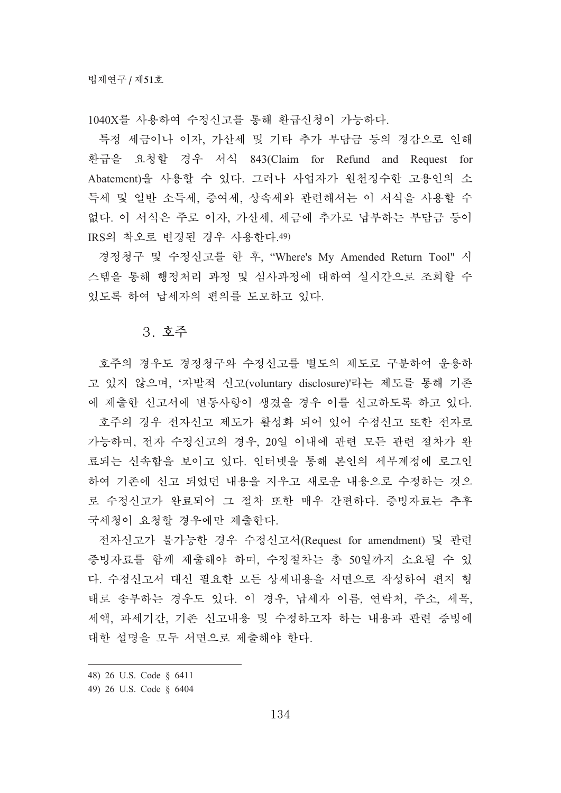1040X를 사용하여 수정신고를 통해 환급신청이 가능하다.

특정 세금이나 이자, 가산세 및 기타 추가 부담금 등의 경감으로 인해 환급을 요청할 경우 서식 843(Claim for Refund and Request for Abatement)을 사용할 수 있다. 그러나 사업자가 원천징수한 고용인의 소 득세 및 일반 소득세, 증여세, 상속세와 관련해서는 이 서식을 사용할 수 없다. 이 서식은 주로 이자, 가산세, 세금에 추가로 납부하는 부담금 등이 IRS의 착오로 변경된 경우 사용한다.49)

경정청구 및 수정신고를 한 후, "Where's My Amended Return Tool" 시 스템을 통해 행정처리 과정 및 심사과정에 대하여 실시간으로 조회할 수 있도록 하여 납세자의 편의를 도모하고 있다.

#### 3. 호주

호주의 경우도 경정청구와 수정신고를 별도의 제도로 구분하여 운용하 고 있지 않으며, '자발적 신고(voluntary disclosure)'라는 제도를 통해 기존 에 제출한 신고서에 변동사항이 생겼을 경우 이를 신고하도록 하고 있다.

호주의 경우 전자신고 제도가 활성화 되어 있어 수정신고 또한 전자로 가능하며, 전자 수정신고의 경우, 20일 이내에 관련 모든 관련 절차가 완 료되는 신속함을 보이고 있다. 인터넷을 통해 본인의 세무계정에 로그인 하여 기존에 신고 되었던 내용을 지우고 새로운 내용으로 수정하는 것으 로 수정신고가 완료되어 그 절차 또한 매우 간편하다. 증빙자료는 추후 국세청이 요청할 경우에만 제출한다.

전자신고가 불가능한 경우 수정신고서(Request for amendment) 및 관련 증빙자료를 함께 제출해야 하며, 수정절차는 총 50일까지 소요될 수 있 다. 수정신고서 대신 필요한 모든 상세내용을 서면으로 작성하여 편지 형 태로 송부하는 경우도 있다. 이 경우, 납세자 이름, 연락처, 주소, 세목, 세액, 과세기간, 기존 신고내용 및 수정하고자 하는 내용과 관련 증빙에 대한 설명을 모두 서면으로 제출해야 한다.

<sup>48) 26</sup> U.S. Code § 6411

<sup>49) 26</sup> U.S. Code § 6404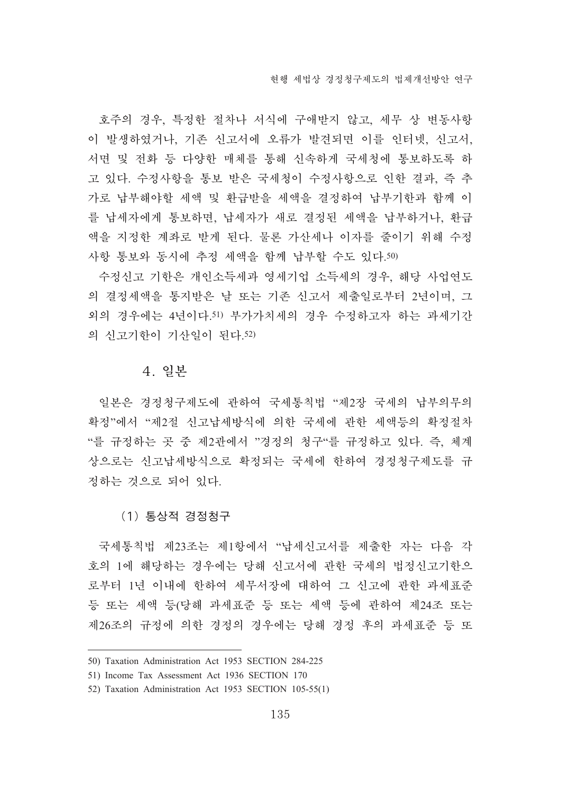호주의 경우, 특정한 절차나 서식에 구애받지 않고, 세무 상 변동사항 이 발생하였거나, 기존 신고서에 오류가 발견되면 이를 인터넷, 신고서, 서면 및 전화 등 다양한 매체를 통해 신속하게 국세청에 통보하도록 하 고 있다. 수정사항을 통보 받은 국세청이 수정사항으로 인한 결과, 즉 추 가로 납부해야할 세액 및 환급받을 세액을 결정하여 납부기한과 함께 이 를 납세자에게 통보하면, 납세자가 새로 결정된 세액을 납부하거나, 환급 액을 지정한 계좌로 받게 된다. 물론 가산세나 이자를 줄이기 위해 수정 사항 통보와 동시에 추정 세액을 함께 납부할 수도 있다.50)

수정신고 기한은 개인소득세과 영세기업 소득세의 경우, 해당 사업연도 의 결정세액을 통지받은 날 또는 기존 신고서 제출일로부터 2년이며, 그 외의 경우에는 4년이다.51) 부가가치세의 경우 수정하고자 하는 과세기간 의 신고기한이 기산일이 된다 52)

#### 4. 일본

일본은 경정청구제도에 관하여 국세통칙법 "제2장 국세의 납부의무의 확정"에서 "제2절 신고납세방식에 의한 국세에 관한 세액등의 확정절차 "를 규정하는 곳 중 제2관에서 "경정의 청구"를 규정하고 있다. 즉, 체계 상으로는 신고납세방식으로 확정되는 국세에 한하여 경정청구제도를 규 정하는 것으로 되어 있다.

(1) 통상적 경정청구

국세통칙법 제23조는 제1항에서 "납세신고서를 제출한 자는 다음 각 호의 1에 해당하는 경우에는 당해 신고서에 관한 국세의 법정신고기한으 로부터 1년 이내에 한하여 세무서장에 대하여 그 신고에 관한 과세표주 등 또는 세액 등(당해 과세표준 등 또는 세액 등에 관하여 제24조 또는 제26조의 규정에 의한 경정의 경우에는 당해 경정 후의 과세표준 등 또

<sup>50)</sup> Taxation Administration Act 1953 SECTION 284-225

<sup>51)</sup> Income Tax Assessment Act 1936 SECTION 170

<sup>52)</sup> Taxation Administration Act 1953 SECTION 105-55(1)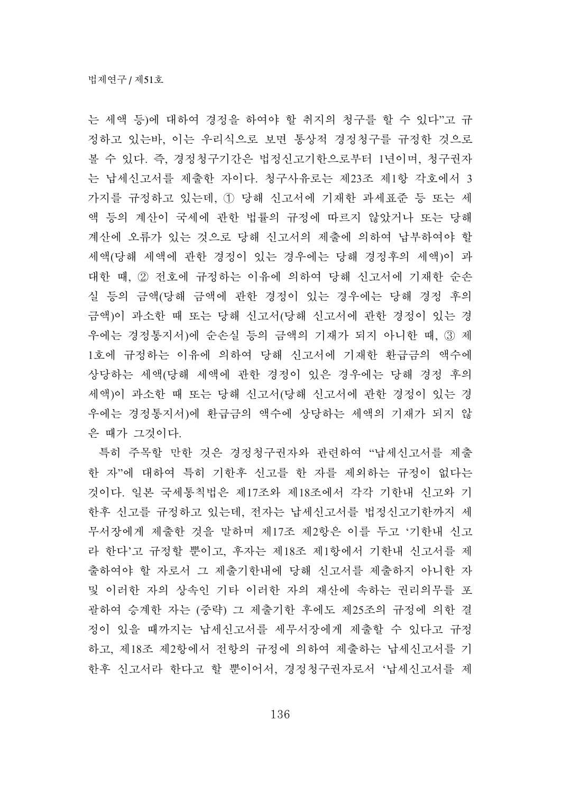는 세액 등)에 대하여 경정을 하여야 할 취지의 청구를 할 수 있다"고 규 정하고 있는바, 이는 우리식으로 보면 통상적 경정청구를 규정한 것으로 볼 수 있다. 즉, 경정청구기간은 법정신고기한으로부터 1년이며, 청구권자 는 납세신고서를 제출한 자이다. 청구사유로는 제23조 제1항 각호에서 3 가지를 규정하고 있는데, ① 당해 신고서에 기재한 과세표준 등 또는 세 액 등의 계산이 국세에 관한 법률의 규정에 따르지 않았거나 또는 당해 계산에 오류가 있는 것으로 당해 신고서의 제출에 의하여 납부하여야 할 세액(당해 세액에 관한 경정이 있는 경우에는 당해 경정후의 세액)이 과 대한 때, ② 전호에 규정하는 이유에 의하여 당해 신고서에 기재한 순손 실 등의 금액(당해 금액에 관한 경정이 있는 경우에는 당해 경정 후의 금액)이 과소한 때 또는 당해 신고서(당해 신고서에 관한 경정이 있는 경 우에는 경정통지서)에 순손실 등의 금액의 기재가 되지 아니한 때, 3 제 1호에 규정하는 이유에 의하여 당해 신고서에 기재한 환급금의 액수에 상당하는 세액(당해 세액에 관한 경정이 있은 경우에는 당해 경정 후의 세액)이 과소한 때 또는 당해 신고서(당해 신고서에 관한 경정이 있는 경 우에는 경정통지서)에 환급금의 액수에 상당하는 세액의 기재가 되지 않 은 때가 그것이다.

특히 주목할 만한 것은 경정청구권자와 관련하여 "납세신고서를 제출 한 자"에 대하여 특히 기한후 신고를 한 자를 제외하는 규정이 없다는 것이다. 일본 국세통칙법은 제17조와 제18조에서 각각 기한내 신고와 기 한후 신고를 규정하고 있는데, 전자는 납세신고서를 법정신고기한까지 세 무서장에게 제출한 것을 말하며 제17조 제2항은 이를 두고 '기한내 신고 라 한다'고 규정할 뿐이고, 후자는 제18조 제1항에서 기한내 신고서를 제 출하여야 할 자로서 그 제출기한내에 당해 신고서를 제출하지 아니한 자 및 이러한 자의 상속인 기타 이러한 자의 재산에 속하는 권리의무를 포 괄하여 승계한 자는 (중략) 그 제출기한 후에도 제25조의 규정에 의한 결 정이 있을 때까지는 납세신고서를 세무서장에게 제출할 수 있다고 규정 하고, 제18조 제2항에서 전항의 규정에 의하여 제출하는 납세신고서를 기 한후 신고서라 한다고 할 뿐이어서, 경정청구권자로서 '납세신고서를 제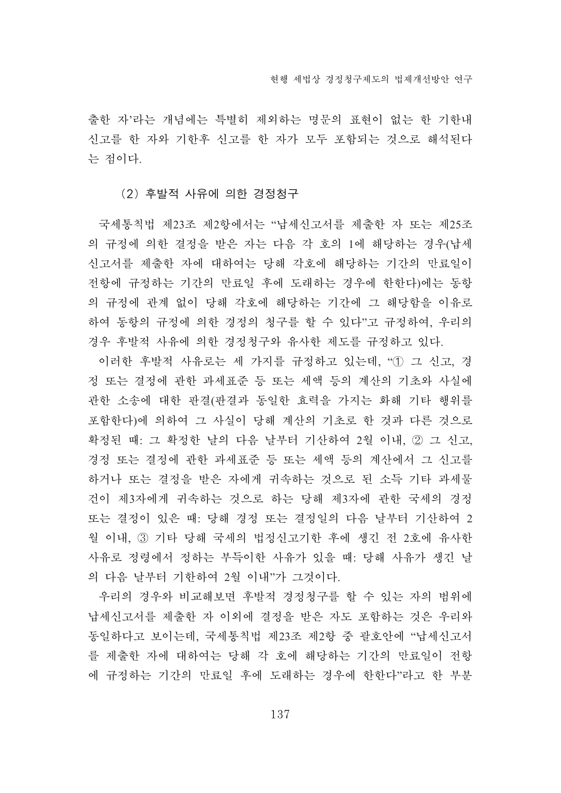출한 자'라는 개념에는 특별히 제외하는 명문의 표현이 없는 한 기한내 신고를 한 자와 기한후 신고를 한 자가 모두 포함되는 것으로 해석된다 는 젂이다.

### (2) 후발적 사유에 의한 경정청구

국세통칙법 제23조 제2항에서는 "납세신고서를 제출한 자 또는 제25조 의 규정에 의한 결정을 받은 자는 다음 각 호의 1에 해당하는 경우(납세 신고서를 제출한 자에 대하여는 당해 각호에 해당하는 기간의 만료일이 전항에 규정하는 기간의 만료일 후에 도래하는 경우에 한한다)에는 동항 의 규정에 관계 없이 당해 각호에 해당하는 기간에 그 해당함을 이유로 하여 동항의 규정에 의한 경정의 청구를 할 수 있다"고 규정하여, 우리의 경우 후발적 사유에 의한 경정청구와 유사한 제도를 규정하고 있다.

이러한 후발적 사유로는 세 가지를 규정하고 있는데, "① 그 신고, 경 정 또는 결정에 관한 과세표준 등 또는 세액 등의 계산의 기초와 사실에 관한 소송에 대한 판결(판결과 동일한 효력을 가지는 화해 기타 행위를 포함한다)에 의하여 그 사실이 당해 계산의 기초로 한 것과 다른 것으로 확정된 때: 그 확정한 날의 다음 날부터 기산하여 2월 이내, 2 그 신고, 경정 또는 결정에 관한 과세표준 등 또는 세액 등의 계산에서 그 신고를 하거나 또는 결정을 받은 자에게 귀속하는 것으로 된 소득 기타 과세물 건이 제3자에게 귀속하는 것으로 하는 당해 제3자에 관한 국세의 경정 또는 결정이 있은 때: 당해 경정 또는 결정일의 다음 날부터 기산하여 2 월 이내. 3 기타 당해 국세의 법정신고기한 후에 생긴 전 2호에 유사한 사유로 정령에서 정하는 부득이한 사유가 있을 때: 당해 사유가 생긴 날 의 다음 날부터 기한하여 2월 이내"가 그것이다.

우리의 경우와 비교해보면 후발적 경정청구를 할 수 있는 자의 범위에 납세신고서를 제출한 자 이외에 결정을 받은 자도 포함하는 것은 우리와 동일하다고 보이는데, 국세통칙법 제23조 제2항 중 괄호안에 "납세신고서 를 제출한 자에 대하여는 당해 각 호에 해당하는 기간의 만료일이 전항 에 규정하는 기간의 만료일 후에 도래하는 경우에 한한다"라고 한 부부

137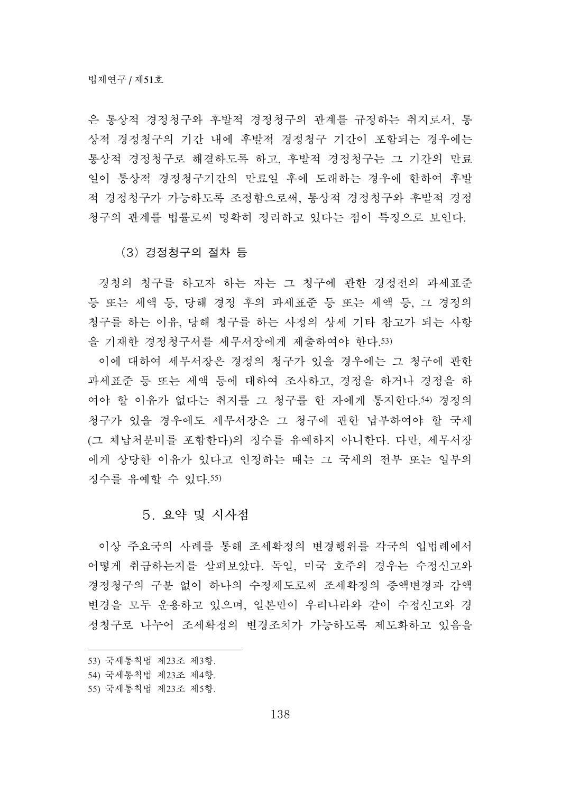은 통상적 경정청구와 후발적 경정청구의 관계를 규정하는 취지로서, 통 상적 경정청구의 기간 내에 후발적 경정청구 기간이 포함되는 경우에는 통상적 경정청구로 해결하도록 하고, 후발적 경정청구는 그 기간의 만료 일이 통상적 경정청구기간의 만료일 후에 도래하는 경우에 한하여 후발 적 경정청구가 가능하도록 조정함으로써, 통상적 경정청구와 후발적 경정 청구의 관계를 법률로써 명확히 정리하고 있다는 점이 특징으로 보인다.

(3) 경정청구의 절차 등

경청의 청구를 하고자 하는 자는 그 청구에 관한 경정전의 과세표준 등 또는 세액 등, 당해 경정 후의 과세표준 등 또는 세액 등, 그 경정의 청구를 하는 이유, 당해 청구를 하는 사정의 상세 기타 참고가 되는 사항 을 기재한 경정청구서를 세무서장에게 제출하여야 한다.53)

이에 대하여 세무서장은 경정의 청구가 있을 경우에는 그 청구에 관한 과세표준 등 또는 세액 등에 대하여 조사하고, 경정을 하거나 경정을 하 여야 할 이유가 없다는 취지를 그 청구를 한 자에게 통지한다.54) 경정의 청구가 있을 경우에도 세무서장은 그 청구에 관한 납부하여야 할 국세 (그 체납처분비를 포함한다)의 징수를 유예하지 아니한다. 다만, 세무서장 에게 상당한 이유가 있다고 인정하는 때는 그 국세의 전부 또는 일부의 징수를 유예할 수 있다. 55)

#### 5. 요약 및 시사점

이상 주요국의 사례를 통해 조세확정의 변경행위를 각국의 입법례에서 어떻게 취급하는지를 살펴보았다. 독일, 미국 호주의 경우는 수정신고와 경정청구의 구분 없이 하나의 수정제도로써 조세확정의 증액변경과 감액 변경을 모두 운용하고 있으며, 일본만이 우리나라와 같이 수정신고와 경 정청구로 나누어 조세확정의 변경조치가 가능하도록 제도화하고 있음을

<sup>53)</sup> 국세통칙법 제23조 제3항.

<sup>54)</sup> 국세통칙법 제23조 제4항.

<sup>55)</sup> 국세통칙법 제23조 제5항.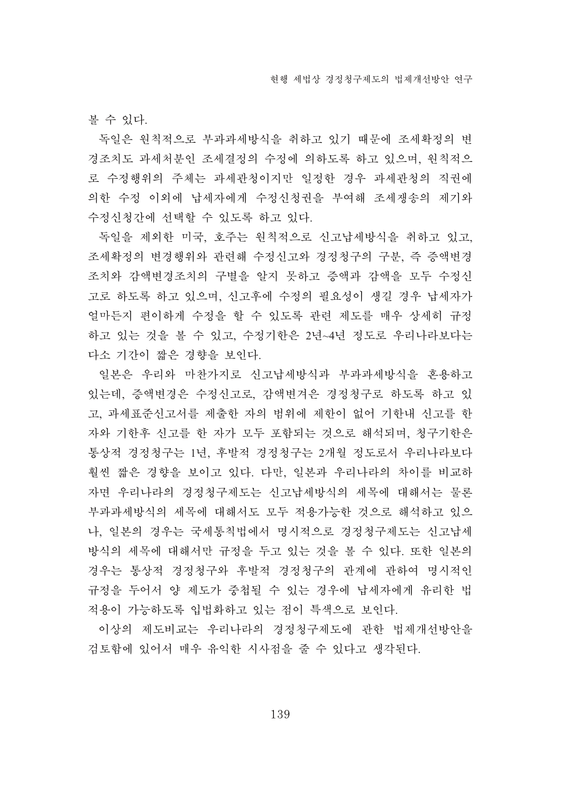볼 수 있다.

독일은 원칙적으로 부과과세방식을 취하고 있기 때문에 조세확정의 변 경조치도 과세처분인 조세결정의 수정에 의하도록 하고 있으며, 원칙적으 로 수정행위의 주체는 과세관청이지만 일정한 경우 과세관청의 직권에 의한 수정 이외에 납세자에게 수정신청권을 부여해 조세쟁송의 제기와 수정신청간에 선택할 수 있도록 하고 있다.

독일을 제외한 미국, 호주는 원칙적으로 신고납세방식을 취하고 있고, 조세확정의 변경행위와 관련해 수정신고와 경정청구의 구분, 즉 증액변경 조치와 감액변경조치의 구별을 알지 못하고 증액과 감액을 모두 수정신 고로 하도록 하고 있으며, 신고후에 수정의 필요성이 생길 경우 납세자가 얼마든지 편이하게 수정을 할 수 있도록 관련 제도를 매우 상세히 규정 하고 있는 것을 볼 수 있고, 수정기한은 2년~4년 정도로 우리나라보다는 다소 기간이 짧은 경향을 보인다.

일본은 우리와 마찬가지로 신고납세방식과 부과과세방식을 혼용하고 있는데, 증액변경은 수정신고로, 감액변겨은 경정청구로 하도록 하고 있 고, 과세표준신고서를 제출한 자의 범위에 제한이 없어 기한내 신고를 한 자와 기한후 신고를 한 자가 모두 포함되는 것으로 해석되며, 청구기한은 통상적 경정청구는 1년, 후발적 경정청구는 2개월 정도로서 우리나라보다 훨씬 짧은 경향을 보이고 있다. 다만. 일본과 우리나라의 차이를 비교하 자면 우리나라의 경정청구제도는 신고납세방식의 세목에 대해서는 물론 부과과세방식의 세목에 대해서도 모두 적용가능한 것으로 해석하고 있으 나, 일본의 경우는 국세통칙법에서 명시적으로 경정청구제도는 신고납세 방식의 세목에 대해서만 규정을 두고 있는 것을 볼 수 있다. 또한 일본의 경우는 통상적 경정청구와 후발적 경정청구의 관계에 관하여 명시적인 규정을 두어서 양 제도가 중첩될 수 있는 경우에 납세자에게 유리한 법 적용이 가능하도록 입법화하고 있는 점이 특색으로 보인다.

이상의 제도비교는 우리나라의 경정청구제도에 관한 법제개선방안을 검토함에 있어서 매우 유익한 시사점을 줄 수 있다고 생각된다.

139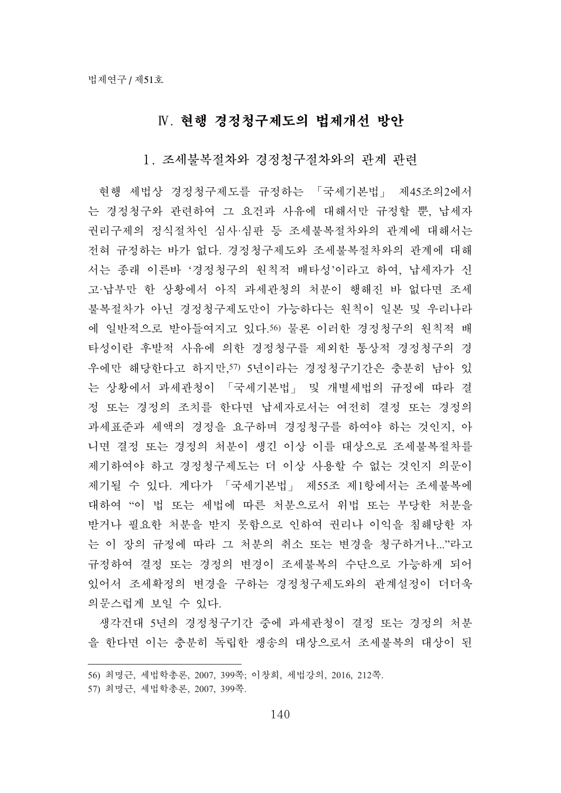# IV. 현행 경정청구제도의 법제개선 방안

1. 조세불복절차와 경정청구절차와의 과계 과려

현행 세법상 경정청구제도를 규정하는 「국세기본법」 제45조의2에서 는 경정청구와 관련하여 그 요건과 사유에 대해서만 규정할 뿐, 납세자 권리구제의 정식절차인 심사·심판 등 조세불복절차와의 관계에 대해서는 전혀 규정하는 바가 없다. 경정청구제도와 조세불복절차와의 관계에 대해 서는 종래 이른바 '경정청구의 원칙적 배타성'이라고 하여, 납세자가 신 고·납부만 한 상황에서 아직 과세관청의 처분이 행해진 바 없다면 조세 불복절차가 아닌 경정청구제도만이 가능하다는 원칙이 일본 및 우리나라 에 일반적으로 받아들여지고 있다.56) 물론 이러한 경정청구의 원칙적 배 타성이란 후발적 사유에 의한 경정청구를 제외한 통상적 경정청구의 경 우에만 해당한다고 하지만,57) 5년이라는 경정청구기간은 충분히 남아 있 는 상황에서 과세관청이 「국세기본법」 및 개별세법의 규정에 따라 결 정 또는 경정의 조치를 한다면 납세자로서는 여전히 결정 또는 경정의 과세표준과 세액의 경정을 요구하며 경정청구를 하여야 하는 것인지, 아 니면 결정 또는 경정의 처분이 생긴 이상 이를 대상으로 조세불복절차를 제기하여야 하고 경정청구제도는 더 이상 사용할 수 없는 것인지 의문이 제기될 수 있다. 게다가 「국세기본법」 제55조 제1항에서는 조세불복에 대하여 "이 법 또는 세법에 따른 처분으로서 위법 또는 부당한 처분을 받거나 필요한 처부을 받지 못함으로 인하여 권리나 이익을 침해당한 자 는 이 장의 규정에 따라 그 처분의 취소 또는 변경을 청구하거나..."라고 규정하여 결정 또는 경정의 변경이 조세불복의 수단으로 가능하게 되어 있어서 조세확정의 변경을 구하는 경정청구제도와의 관계설정이 더더욱 의문스럽게 보일 수 있다.

생각건대 5년의 경정청구기간 중에 과세관청이 결정 또는 경정의 처분 을 한다면 이는 충분히 독립한 쟁송의 대상으로서 조세불복의 대상이 된

<sup>56)</sup> 최명근, 세법학총론, 2007, 399쪽; 이창희, 세법강의, 2016, 212쪽.

<sup>57)</sup> 최명근, 세법학총론, 2007, 399쪽.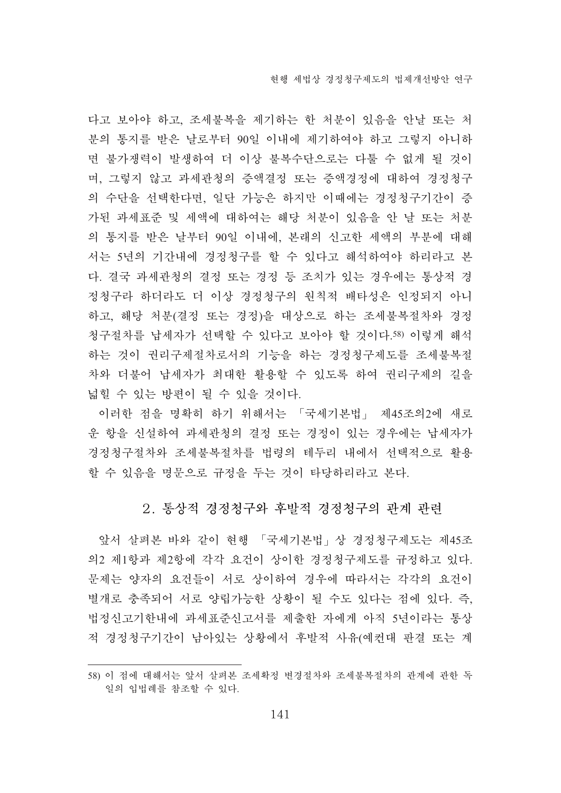다고 보아야 하고, 조세불복을 제기하는 한 처부이 있음을 안날 또는 처 분의 통지를 받은 날로부터 90일 이내에 제기하여야 하고 그렇지 아니하 면 불가쟁력이 발생하여 더 이상 불복수단으로는 다툴 수 없게 될 것이 며, 그렇지 않고 과세관청의 증액결정 또는 증액경정에 대하여 경정청구 의 수단을 선택한다면, 일단 가능은 하지만 이때에는 경정청구기간이 증 가된 과세표준 및 세액에 대하여는 해당 처분이 있음을 안 날 또는 처분 의 통지를 받은 날부터 90일 이내에, 본래의 신고한 세액의 부분에 대해 서는 5년의 기간내에 경정청구를 할 수 있다고 해석하여야 하리라고 본 다. 결국 과세관청의 결정 또는 경정 등 조치가 있는 경우에는 통상적 경 정청구라 하더라도 더 이상 경정청구의 원칙적 배타성은 인정되지 아니 하고, 해당 처분(결정 또는 경정)을 대상으로 하는 조세불복절차와 경정 청구절차를 납세자가 선택할 수 있다고 보아야 할 것이다.58) 이렇게 해석 하는 것이 권리구제절차로서의 기능을 하는 경정청구제도를 조세불복절 차와 더불어 납세자가 최대한 활용할 수 있도록 하여 권리구제의 길을 넓힐 수 있는 방편이 될 수 있을 것이다.

이러한 점을 명확히 하기 위해서는 「국세기본법」 제45조의2에 새로 운 항을 신설하여 과세관청의 결정 또는 경정이 있는 경우에는 납세자가 경정청구절차와 조세불복절차를 법령의 테두리 내에서 선택적으로 활용 할 수 있음을 명문으로 규정을 두는 것이 타당하리라고 본다.

#### 2. 통상적 경정청구와 후발적 경정청구의 관계 관련

앞서 살펴본 바와 같이 현행 「국세기본법」상 경정청구제도는 제45조 의2 제1항과 제2항에 각각 요건이 상이한 경정청구제도를 규정하고 있다. 문제는 양자의 요건들이 서로 상이하여 경우에 따라서는 각각의 요건이 별개로 충족되어 서로 양립가능한 상황이 될 수도 있다는 점에 있다. 즉, 법정신고기한내에 과세표준신고서를 제출한 자에게 아직 5년이라는 통상 적 경정청구기간이 남아있는 상황에서 후발적 사유(예컨대 판결 또는 계

<sup>58)</sup> 이 점에 대해서는 앞서 살펴본 조세확정 변경절차와 조세불복절차의 관계에 관한 독 일의 입법례를 참조할 수 있다.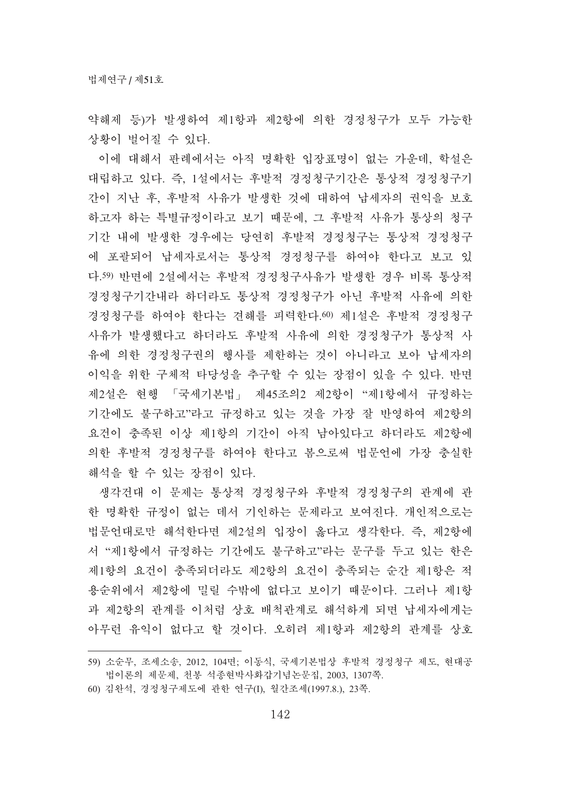약해제 등)가 발생하여 제1항과 제2항에 의한 경정청구가 모두 가능한 상황이 벌어질 수 있다.

이에 대해서 판례에서는 아직 명확한 입장표명이 없는 가운데, 학설은 대립하고 있다. 즉, 1설에서는 후발적 경정청구기간은 통상적 경정청구기 간이 지난 후, 후발적 사유가 발생한 것에 대하여 납세자의 권익을 보호 하고자 하는 특별규정이라고 보기 때문에, 그 후발적 사유가 통상의 청구 기간 내에 발생한 경우에는 당연히 후발적 경정청구는 통상적 경정청구 에 포괄되어 납세자로서는 통상적 경정청구를 하여야 한다고 보고 있 다.59) 반면에 2설에서는 후발적 경정청구사유가 발생한 경우 비록 통상적 경정청구기간내라 하더라도 통상적 경정청구가 아닌 후발적 사유에 의한 경정청구를 하여야 한다는 견해를 피력한다.60) 제1설은 후발적 경정청구 사유가 발생했다고 하더라도 후발적 사유에 의한 경정청구가 통상적 사 유에 의한 경정청구권의 행사를 제한하는 것이 아니라고 보아 납세자의 이익을 위한 구체적 타당성을 추구할 수 있는 장점이 있을 수 있다. 반면 제2설은 현행 「국세기본법」 제45조의2 제2항이 "제1항에서 규정하는 기간에도 불구하고"라고 규정하고 있는 것을 가장 잘 반영하여 제2항의 요건이 충족된 이상 제1항의 기간이 아직 남아있다고 하더라도 제2항에 의한 후발적 경정청구를 하여야 한다고 봄으로써 법문언에 가장 충실한 해석을 할 수 있는 장점이 있다.

생각건대 이 문제는 통상적 경정청구와 후발적 경정청구의 관계에 관 한 명확한 규정이 없는 데서 기인하는 문제라고 보여진다. 개인적으로는 법문언대로만 해석한다면 제2설의 입장이 옳다고 생각한다. 즉, 제2항에 서 "제1항에서 규정하는 기간에도 불구하고"라는 문구를 두고 있는 한은 제1항의 요건이 충족되더라도 제2항의 요건이 충족되는 순간 제1항은 적 용순위에서 제2항에 밀릴 수밖에 없다고 보이기 때문이다. 그러나 제1항 과 제2항의 관계를 이처럼 상호 배척관계로 해석하게 되면 납세자에게는 아무런 유익이 없다고 할 것이다. 오히려 제1항과 제2항의 관계를 상호

<sup>59)</sup> 소순무, 조세소송, 2012, 104면; 이동식, 국세기본법상 후발적 경정청구 제도, 현대공 법이론의 제문제, 천봉 석종현박사화갑기념논문집, 2003, 1307쪽.

<sup>60)</sup> 김완석, 경정청구제도에 관한 연구(I), 월간조세(1997.8.), 23쪽.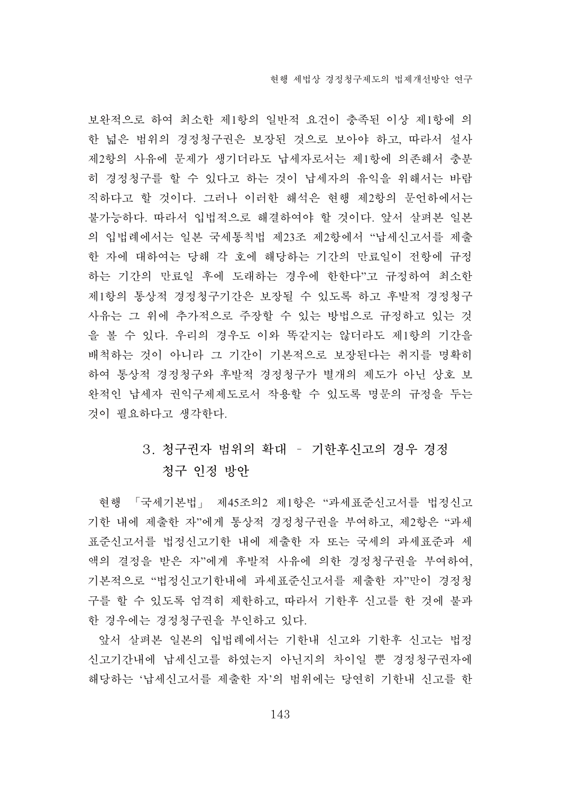보완적으로 하여 최소한 제1항의 일반적 요건이 충족된 이상 제1항에 의 한 넓은 범위의 경정청구권은 보장된 것으로 보아야 하고, 따라서 설사 제2항의 사유에 문제가 생기더라도 납세자로서는 제1항에 의존해서 충분 히 경정청구를 할 수 있다고 하는 것이 납세자의 유익을 위해서는 바람 직하다고 할 것이다. 그러나 이러한 해석은 현행 제2항의 문언하에서는 불가능하다. 따라서 입법적으로 해결하여야 할 것이다. 앞서 살펴본 일본 의 입법례에서는 일본 국세통칙법 제23조 제2항에서 "납세신고서를 제출 한 자에 대하여는 당해 각 호에 해당하는 기간의 만료일이 전항에 규정 하는 기간의 만료일 후에 도래하는 경우에 한한다"고 규정하여 최소한 제1항의 통상적 경정청구기간은 보장될 수 있도록 하고 후발적 경정청구 사유는 그 위에 추가적으로 주장할 수 있는 방법으로 규정하고 있는 것 을 볼 수 있다. 우리의 경우도 이와 똑같지는 않더라도 제1항의 기간을 배척하는 것이 아니라 그 기간이 기본적으로 보장된다는 취지를 명확히 하여 통상적 경정청구 경정청구가 별개의 제도가 아닌 상호 보 완적인 납세자 권익구제제도로서 작용할 수 있도록 명문의 규정을 두는 것이 필요하다고 생각한다.

# 3. 청구권자 범위의 확대 - 기한후신고의 경우 경정 청구 인정 방아

현행 「국세기본법」 제45조의2 제1항은 "과세표준신고서를 법정신고 기한 내에 제출한 자"에게 통상적 경정청구권을 부여하고, 제2항은 "과세 표준신고서를 법정신고기한 내에 제출한 자 또는 국세의 과세표준과 세 액의 결정을 받은 자"에게 후발적 사유에 의한 경정청구권을 부여하여, 기본적으로 "법정신고기한내에 과세표준신고서를 제출한 자"만이 경정청 구를 할 수 있도록 엄격히 제한하고, 따라서 기한후 신고를 한 것에 불과 한 경우에는 경정청구권을 부인하고 있다.

앞서 살펴본 일본의 입법례에서는 기한내 신고와 기한후 신고는 법정 신고기간내에 납세신고를 하였는지 아닌지의 차이일 뿐 경정청구권자에 해당하는 '납세신고서를 제출한 자'의 범위에는 당연히 기한내 신고를 한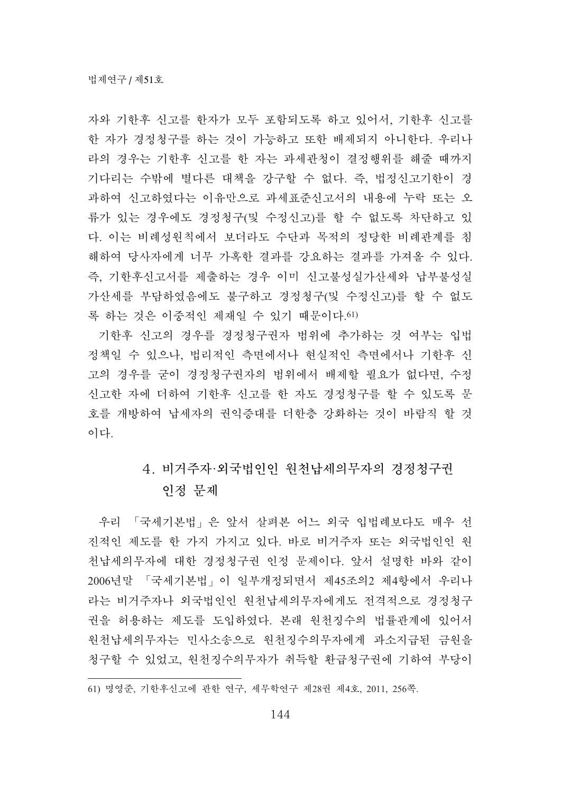자와 기한후 신고를 한자가 모두 포함되도록 하고 있어서, 기한후 신고를 한 자가 경정청구를 하는 것이 가능하고 또한 배제되지 아니한다. 우리나 라의 경우는 기한후 신고를 한 자는 과세관청이 결정행위를 해줄 때까지 기다리는 수밖에 별다른 대책을 강구할 수 없다. 즉, 법정신고기한이 경 과하여 신고하였다는 이유만으로 과세표준신고서의 내용에 누락 또는 오 류가 있는 경우에도 경정청구(및 수정신고)를 할 수 없도록 차단하고 있 다. 이는 비례성원칙에서 보더라도 수단과 목적의 정당한 비례관계를 침 해하여 당사자에게 너무 가혹한 결과를 강요하는 결과를 가져올 수 있다. 즉, 기한후신고서를 제출하는 경우 이미 신고불성실가산세와 납부불성실 가산세를 부담하였음에도 불구하고 경정청구(및 수정신고)를 할 수 없도 록 하는 것은 이중적인 제재일 수 있기 때문이다.61)

기한후 신고의 경우를 경정청구권자 범위에 추가하는 것 여부는 입법 정책일 수 있으나, 법리적인 측면에서나 현실적인 측면에서나 기한후 신 고의 경우를 굳이 경정청구권자의 범위에서 배제할 필요가 없다면, 수정 신고한 자에 더하여 기한후 신고를 한 자도 경정청구를 할 수 있도록 문 호를 개방하여 납세자의 권익증대를 더한층 강화하는 것이 바람직 할 것 이다.

# 4. 비거주자·외국법이이 워천납세의무자의 경정청구권 인정 무제

우리 「국세기본법」은 앞서 살펴본 어느 외국 입법례보다도 매우 선 진적인 제도를 한 가지 가지고 있다. 바로 비거주자 또는 외국법인인 원 천납세의무자에 대한 경정청구권 인정 문제이다. 앞서 설명한 바와 같이 2006년말 「국세기본법」이 일부개정되면서 제45조의2 제4항에서 우리나 라는 비거주자나 외국법인인 원천납세의무자에게도 전격적으로 경정청구 권을 허용하는 제도를 도입하였다. 본래 원천징수의 법률관계에 있어서 원천납세의무자는 민사소송으로 원천징수의무자에게 과소지급된 금원을 청구할 수 있었고, 원천징수의무자가 취득할 환급청구권에 기하여 부당이

<sup>61)</sup> 명영준, 기한후신고에 관한 연구, 세무학연구 제28권 제4호, 2011, 256쪽.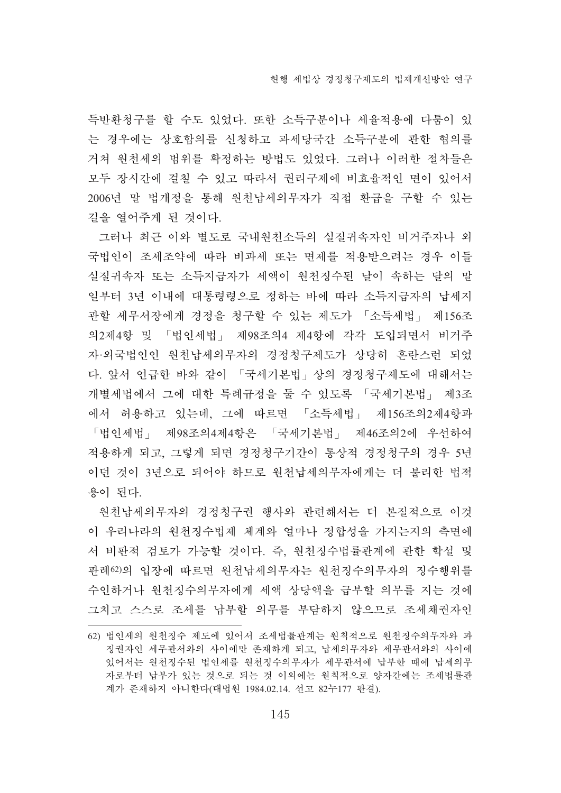득반환청구를 할 수도 있었다. 또한 소득구부이나 세율적용에 다툼이 있 는 경우에는 상호합의를 신청하고 과세당국간 소득구분에 관한 협의를 거쳐 원천세의 범위를 확정하는 방법도 있었다. 그러나 이러한 절차들은 모두 장시간에 걸칠 수 있고 따라서 권리구제에 비효율적인 면이 있어서 2006년 말 법개정을 통해 원천납세의무자가 직접 환급을 구할 수 있는 길을 열어주게 된 것이다.

그러나 최근 이와 별도로 국내원천소득의 실질귀속자인 비거주자나 외 국법인이 조세조약에 따라 비과세 또는 면제를 적용받으려는 경우 이들 실질귀속자 또는 소득지급자가 세액이 워처징수된 날이 속하는 달의 말 일부터 3년 이내에 대통령령으로 정하는 바에 따라 소득지급자의 납세지 관할 세무서장에게 경정을 청구할 수 있는 제도가 「소득세법」 제156조 의2제4항 및 「법이세법」 제98조의4 제4항에 각각 도입되면서 비거주 자·외국법인인 원천납세의무자의 경정청구제도가 상당히 혼란스런 되었 다. 앞서 언급한 바와 같이 「국세기본법」 상의 경정청구제도에 대해서는 개별세법에서 그에 대한 특례규정을 둘 수 있도록 「국세기본법」 제3조 에서 허용하고 있는데, 그에 따르면 「소득세법」 제156조의2제4항과 「법인세법」 제98조의4제4항은 「국세기본법」 제46조의2에 우선하여 적용하게 되고, 그렇게 되면 경정청구기간이 통상적 경정청구의 경우 5년 이던 것이 3년으로 되어야 하므로 원처납세의무자에게는 더 불리한 법적 용이 된다.

원천납세의무자의 경정청구권 행사와 관련해서는 더 본질적으로 이것 이 우리나라의 원천징수법제 체계와 얼마나 정합성을 가지는지의 측면에 서 비판적 검토가 가능할 것이다. 즉, 원천징수법률관계에 관한 학설 및 판례62)의 입장에 따르면 원천납세의무자는 원천징수의무자의 징수행위를 수인하거나 원천징수의무자에게 세액 상당액을 급부할 의무를 지는 것에 그치고 스스로 조세를 납부할 의무를 부담하지 않으므로 조세채권자인

<sup>62)</sup> 법인세의 원천징수 제도에 있어서 조세법률관계는 원칙적으로 원천징수의무자와 과 징권자인 세무관서와의 사이에만 존재하게 되고, 납세의무자와 세무관서와의 사이에 있어서는 원천징수된 법인세를 원천징수의무자가 세무관서에 납부한 때에 납세의무 자로부터 납부가 있는 것으로 되는 것 이외에는 원칙적으로 양자간에는 조세법률관 계가 존재하지 아니한다(대법원 1984.02.14. 선고 82누177 판결).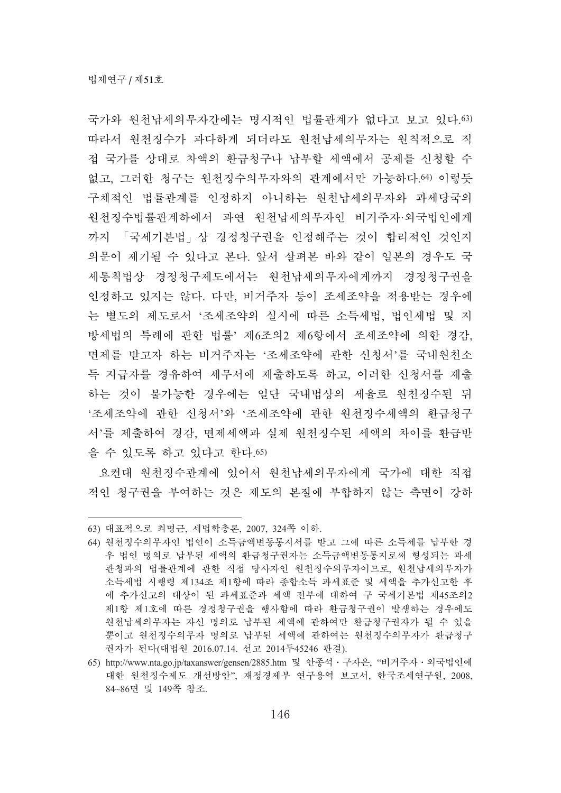국가와 워천납세의무자간에는 명시적인 법률관계가 없다고 보고 있다.63) 따라서 원천징수가 과다하게 되더라도 원천납세의무자는 원칙적으로 직 접 국가를 상대로 차액의 환급청구나 납부할 세액에서 공제를 신청할 수 없고, 그러한 청구는 원천징수의무자와의 관계에서만 가능하다.64) 이렇듯 구체적인 법률관계를 인정하지 아니하는 원천납세의무자와 과세당국의 원천징수법률관계하에서 과연 원천납세의무자인 비거주자·외국법인에게 까지 「국세기본법」상 경정청구권을 인정해주는 것이 합리적인 것인지 의문이 제기될 수 있다고 본다. 앞서 살펴본 바와 같이 일본의 경우도 국 세통칙법상 경정청구제도에서는 원천납세의무자에게까지 경정청구권을 인정하고 있지는 않다. 다만, 비거주자 등이 조세조약을 적용받는 경우에 는 별도의 제도로서 '조세조약의 실시에 따른 소득세법, 법인세법 및 지 방세법의 특례에 과하 법률' 제6조의2 제6항에서 조세조약에 의하 경감. 면제를 받고자 하는 비거주자는 '조세조약에 관한 신청서'를 국내원천소 득 지급자를 경유하여 세무서에 제출하도록 하고, 이러한 신청서를 제출 하는 것이 불가능한 경우에는 일단 국내법상의 세율로 원천징수된 뒤 '조세조약에 관한 신청서'와 '조세조약에 관한 원천징수세액의 환급청구 서'를 제출하여 경감, 면제세액과 실제 원천징수된 세액의 차이를 환급받 을 수 있도록 하고 있다고 한다.65)

요컨대 원천징수관계에 있어서 원천납세의무자에게 국가에 대한 직접 적인 청구권을 부여하는 것은 제도의 본질에 부합하지 않는 측면이 강하

<sup>63)</sup> 대표적으로 최명근, 세법학총론, 2007, 324쪽 이하.

<sup>64)</sup> 원처징수의무자인 법인이 소득금액변동통지서를 받고 그에 따른 소득세를 납부한 경 우 법인 명의로 납부된 세액의 환급청구권자는 소득금액변동통지로써 형성되는 과세 관청과의 법률관계에 관한 직접 당사자인 원천징수의무자이므로, 원천납세의무자가 소득세법 시행령 제134조 제1항에 따라 종합소득 과세표준 및 세액을 추가신고한 후 에 추가신고의 대상이 된 과세표준과 세액 전부에 대하여 구 국세기본법 제45조의2 제1항 제1호에 따른 경정청구권을 행사함에 따라 환급청구권이 발생하는 경우에도 원천납세의무자는 자신 명의로 납부된 세액에 관하여만 환급청구권자가 될 수 있을 뿐이고 원천징수의무자 명의로 납부된 세액에 관하여는 원천징수의무자가 환급청구 권자가 된다(대법원 2016.07.14. 선고 2014두45246 판결).

<sup>65)</sup> http://www.nta.go.jp/taxanswer/gensen/2885.htm 및 안종석 · 구자은, "비거주자 · 외국법인에 대한 원천징수제도 개선방안", 재정경제부 연구용역 보고서, 한국조세연구원, 2008, 84~86면 및 149쪽 참조.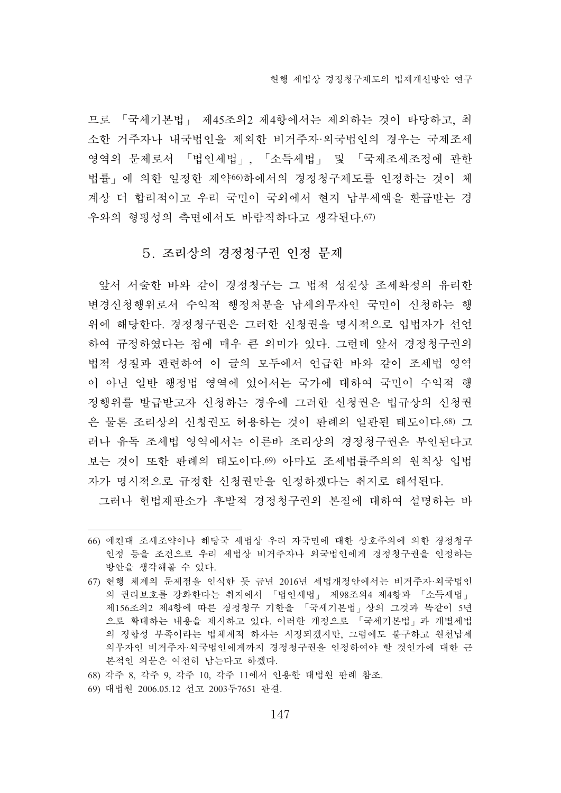므로 「국세기본법」 제45조의2 제4항에서는 제외하는 것이 타당하고, 최 소한 거주자나 내국법인을 제외한 비거주자 외국법인의 경우는 국제조세 영역의 문제로서 「법인세법」, 「소득세법」 및 「국제조세조정에 관한 법률 에의한 일정한 제약60하에서의 경정청구제도를 인정하는 것이 체 계상 더 합리적이고 우리 국민이 국외에서 현지 납부세액을 환급받는 경 우와의 형평성의 측면에서도 바람직하다고 생각된다.67)

## 5. 조리상의 경정청구권 인정 무제

앞서 서술한 바와 같이 경정청구는 그 법적 성질상 조세확정의 유리한 변경신청행위로서 수익적 행정처분을 납세의무자인 국민이 신청하는 행 위에 해당한다. 경정청구권은 그러한 신청권을 명시적으로 입법자가 선언 하여 규정하였다는 점에 매우 큰 의미가 있다. 그런데 앞서 경정청구권의 법적 성질과 관련하여 이 글의 모두에서 언급한 바와 같이 조세법 영역 이 아닌 일반 행정법 영역에 있어서는 국가에 대하여 국민이 수익적 행 정행위를 발급받고자 신청하는 경우에 그러한 신청권은 법규상의 신청권 은 물론 조리상의 신청권도 허용하는 것이 판례의 일관된 태도이다.68) 그 러나 유독 조세법 영역에서는 이른바 조리상의 경정청구권은 부인된다고 보는 것이 또한 판례의 태도이다.69) 아마도 조세법률주의의 원칙상 입법 자가 명시적으로 규정한 신청권만을 인정하겠다는 취지로 해석된다.

그러나 헌법재판소가 후발적 경정청구권의 본질에 대하여 설명하는 바

69) 대법원 2006.05.12 선고 2003두7651 판결.

<sup>66)</sup> 예컨대 조세조약이나 해당국 세법상 우리 자국민에 대한 상호주의에 의한 경정청구 인정 등을 조건으로 우리 세법상 비거주자나 외국법인에게 경정청구권을 인정하는 방안을 생각해볼 수 있다.

<sup>67)</sup> 현행 체계의 문제점을 인식한 듯 금년 2016년 세법개정안에서는 비거주자·외국법인 의 권리보호를 강화한다는 취지에서 「법인세법」 제98조의4 제4항과 「소득세법」 제156조의2 제4항에 따른 경정청구 기한을 「국세기본법」 상의 그것과 똑같이 5년 으로 확대하는 내용을 제시하고 있다. 이러한 개정으로 「국세기본법」과 개별세법 의 정합성 부족이라는 법체계적 하자는 시정되겠지만, 그럼에도 불구하고 원천납세 의무자인 비거주자·외국법인에게까지 경정청구권을 인정하여야 할 것인가에 대한 근 본적인 의문은 여전히 남는다고 하겠다.

<sup>68)</sup> 각주 8, 각주 9, 각주 10, 각주 11에서 인용한 대법원 판례 참조.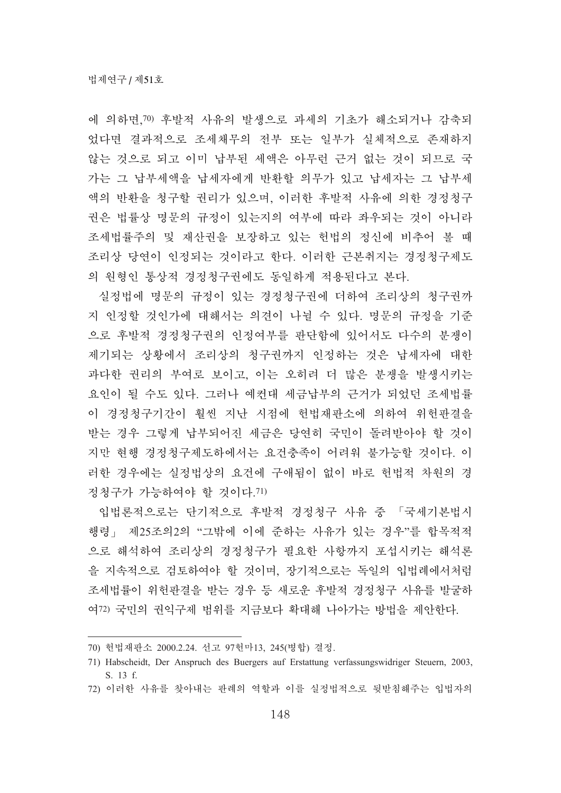에 의하면,70) 후발적 사유의 발생으로 과세의 기초가 해소되거나 감축되 었다면 결과적으로 조세채무의 전부 또는 일부가 실체적으로 존재하지 않는 것으로 되고 이미 납부된 세액은 아무런 근거 없는 것이 되므로 국 가는 그 납부세액을 납세자에게 반환할 의무가 있고 납세자는 그 납부세 액의 반환을 청구할 권리가 있으며, 이러한 후발적 사유에 의한 경정청구 권은 법률상 명문의 규정이 있는지의 여부에 따라 좌우되는 것이 아니라 조세법률주의 및 재산권을 보장하고 있는 헌법의 정신에 비추어 볼 때 조리상 당연이 인정되는 것이라고 한다. 이러한 근본취지는 경정청구제도 의 원형인 통상적 경정청구권에도 동일하게 적용된다고 본다.

실정법에 명문의 규정이 있는 경정청구권에 더하여 조리상의 청구권까 지 인정할 것인가에 대해서는 의견이 나뉠 수 있다. 명문의 규정을 기준 으로 후발적 경정청구권의 인정여부를 판단함에 있어서도 다수의 분쟁이 제기되는 상황에서 조리상의 청구권까지 인정하는 것은 납세자에 대한 과다한 권리의 부여로 보이고, 이는 오히려 더 많은 분쟁을 발생시키는 요인이 될 수도 있다. 그러나 예컨대 세금납부의 근거가 되었던 조세법률 이 경정청구기간이 훨씬 지난 시점에 헌법재판소에 의하여 위헌판결을 받는 경우 그렇게 납부되어진 세금은 당연히 국민이 돌려받아야 할 것이 지만 현행 경정청구제도하에서는 요건충족이 어려워 불가능할 것이다. 이 러한 경우에는 실정법상의 요건에 구애됨이 없이 바로 헌법적 차워의 경 정청구가 가능하여야 할 것이다.71)

입법론적으로는 단기적으로 후발적 경정청구 사유 중 「국세기본법시 행령 | 제25조의2의 "그밖에 이에 준하는 사유가 있는 경우"를 합목적적 으로 해석하여 조리상의 경정청구가 필요한 사항까지 포섭시키는 해석론 을 지속적으로 검토하여야 할 것이며, 장기적으로는 독일의 입법례에서처럼 조세법률이 위헌판결을 받는 경우 등 새로운 후발적 경정청구 사유를 발굴하 여72) 국민의 권익구제 범위를 지금보다 확대해 나아가는 방법을 제안한다.

<sup>70)</sup> 헌법재판소 2000.2.24. 선고 97헌마13, 245(병합) 결정.

<sup>71)</sup> Habscheidt, Der Anspruch des Buergers auf Erstattung verfassungswidriger Steuern, 2003, S. 13 f.

<sup>72)</sup> 이러한 사유를 찾아내는 판례의 역할과 이를 실정법적으로 뒷받침해주는 입법자의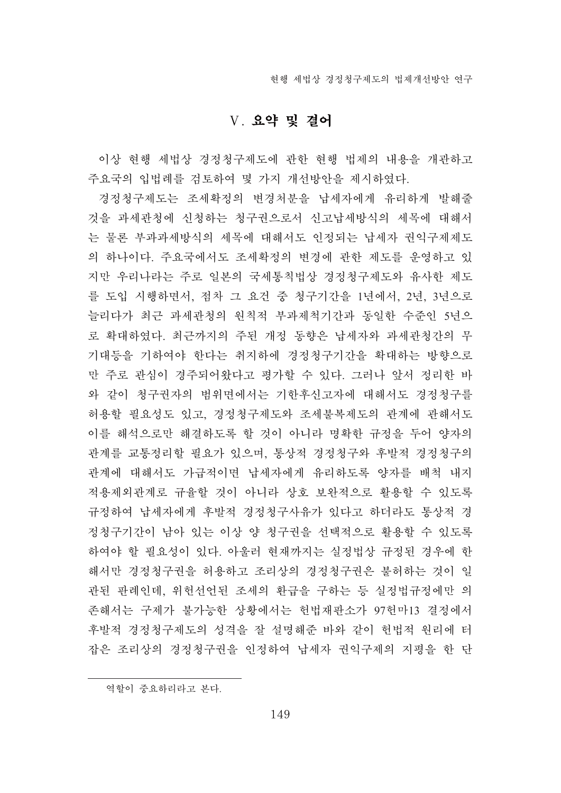혀행 세법상 경정청구제도의 법제개선방안 역구

# V. 요약 및 결어

이상 현행 세법상 경정청구제도에 관한 현행 법제의 내용을 개관하고 주요국의 입법례를 검토하여 몇 가지 개선방안을 제시하였다.

경정청구제도는 조세확정의 변경처분을 납세자에게 유리하게 발해줄 것을 과세관청에 신청하는 청구권으로서 신고납세방식의 세목에 대해서 는 물론 부과과세방식의 세목에 대해서도 인정되는 납세자 권익구제제도 의 하나이다. 주요국에서도 조세확정의 변경에 관한 제도를 운영하고 있 지만 우리나라는 주로 일본의 국세통칙법상 경정청구제도와 유사한 제도 를 도입 시행하면서, 점차 그 요건 중 청구기간을 1년에서, 2년, 3년으로 늘리다가 최근 과세관청의 원칙적 부과제척기간과 동일한 수준인 5년으 로 확대하였다. 최근까지의 주된 개정 동향은 납세자와 과세관청간의 무 기대등을 기하여야 한다는 취지하에 경정청구기간을 확대하는 방향으로 만 주로 관심이 경주되어왔다고 평가할 수 있다. 그러나 앞서 정리한 바 와 같이 청구권자의 범위면에서는 기한후신고자에 대해서도 경정청구를 허용할 필요성도 있고, 경정청구제도와 조세불복제도의 관계에 관해서도 이를 해석으로만 해결하도록 할 것이 아니라 명확한 규정을 두어 양자의 관계를 교통정리할 필요가 있으며, 통상적 경정청구와 후발적 경정청구의 관계에 대해서도 가급적이면 납세자에게 유리하도록 양자를 배척 내지 적용제외관계로 규율할 것이 아니라 상호 보완적으로 활용할 수 있도록 규정하여 납세자에게 후발적 경정청구사유가 있다고 하더라도 통상적 경 정청구기간이 남아 있는 이상 양 청구권을 선택적으로 활용할 수 있도록 하여야 할 필요성이 있다. 아울러 현재까지는 실정법상 규정된 경우에 한 해서만 경정청구권을 허용하고 조리상의 경정청구권은 불허하는 것이 일 관된 판례인데, 위헌선언된 조세의 환급을 구하는 등 실정법규정에만 의 존해서는 구제가 불가능한 상황에서는 헌법재판소가 97헌마13 결정에서 후발적 경정청구제도의 성격을 잘 설명해준 바와 같이 헌법적 원리에 터 잡은 조리상의 경정청구권을 인정하여 납세자 권익구제의 지평을 한 단

역할이 중요하리라고 본다.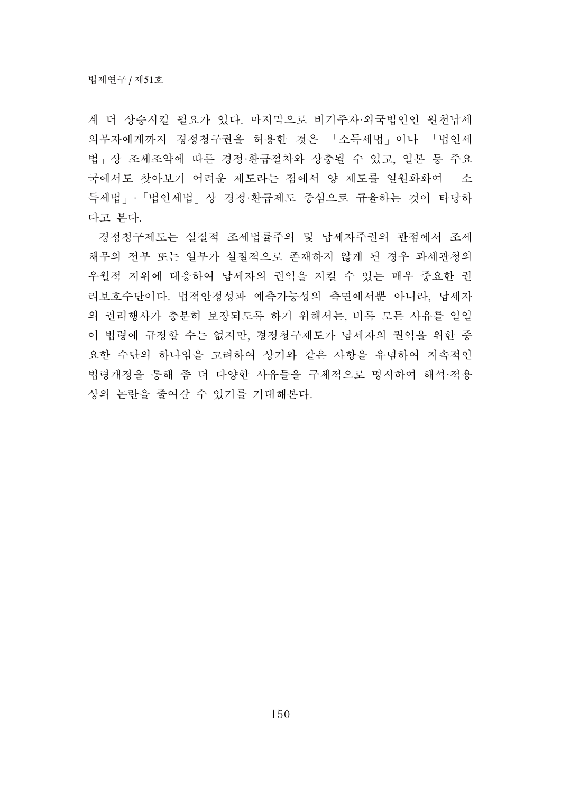계 더 상승시킬 필요가 있다. 마지막으로 비거주자 외국법이이 워천납세 의무자에게까지 경정청구권을 허용한 것은 「소득세법」이나 「법인세 법 | 상 조세조약에 따른 경정·환급절차와 상충될 수 있고, 일본 등 주요 국에서도 찾아보기 어려운 제도라는 점에서 양 제도를 일원화화여 「소 득세법 · 「법인세법 · 상 경정·환급제도 중심으로 규율하는 것이 타당하 다고 본다.

경정청구제도는 실질적 조세법률주의 및 납세자주권의 관점에서 조세 채무의 전부 또는 일부가 실질적으로 존재하지 않게 된 경우 과세관청의 우월적 지위에 대응하여 납세자의 권익을 지킬 수 있는 매우 중요한 권 리보호수단이다. 법적안정성과 예측가능성의 측면에서뿐 아니라. 납세자 의 권리행사가 충분히 보장되도록 하기 위해서는, 비록 모든 사유를 일일 이 법령에 규정할 수는 없지만, 경정청구제도가 납세자의 권익을 위한 중 요한 수단의 하나임을 고려하여 상기와 같은 사항을 유념하여 지속적인 법령개정을 통해 좀 더 다양한 사유들을 구체적으로 명시하여 해석·적용 상의 논란을 줄여갈 수 있기를 기대해본다.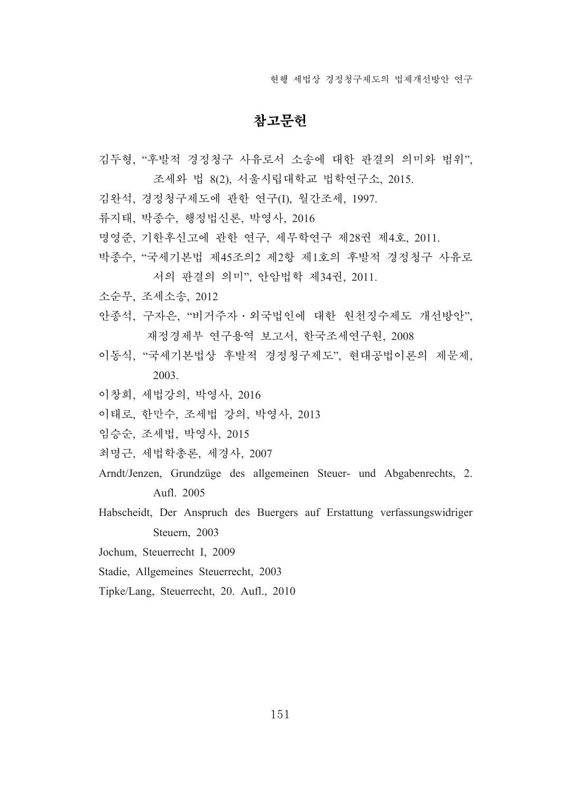혀행 세법상 경정청구제도의 법제개선방안 역구

# 참고무헌

- 김두형, "후발적 경정청구 사유로서 소송에 대한 판결의 의미와 범위", 조세와 법 8(2), 서울시립대학교 법학연구소, 2015.
- 김완석, 경정청구제도에 관한 연구(I), 월간조세, 1997.
- 류지태, 박종수, 행정법신론, 박영사, 2016
- 명영준, 기한후신고에 관한 연구, 세무학연구 제28권 제4호, 2011.
- 박종수, "국세기본법 제45조의2 제2항 제1호의 후발적 경정청구 사유로 서의 판결의 의미", 안암법학 제34권, 2011.
- 소순무, 조세소송, 2012
- 아종석, 구자은, "비거주자 · 외국법인에 대한 원천징수제도 개선방안". 재정경제부 역구용역 보고서 학국조세역구원 2008
- 이동식, "국세기본법상 후발적 경정청구제도", 현대공법이론의 제문제, 2003.
- 이창희, 세법강의, 박영사, 2016
- 이태로, 한만수, 조세법 강의, 박영사, 2013
- 임승순, 조세법, 박영사, 2015
- 최명근, 세법학총론, 세경사, 2007
- Arndt/Jenzen, Grundzüge des allgemeinen Steuer- und Abgabenrechts, 2. Aufl. 2005
- Habscheidt, Der Anspruch des Buergers auf Erstattung verfassungswidriger Steuern, 2003
- Jochum, Steuerrecht I, 2009
- Stadie, Allgemeines Steuerrecht, 2003
- Tipke/Lang, Steuerrecht, 20. Aufl., 2010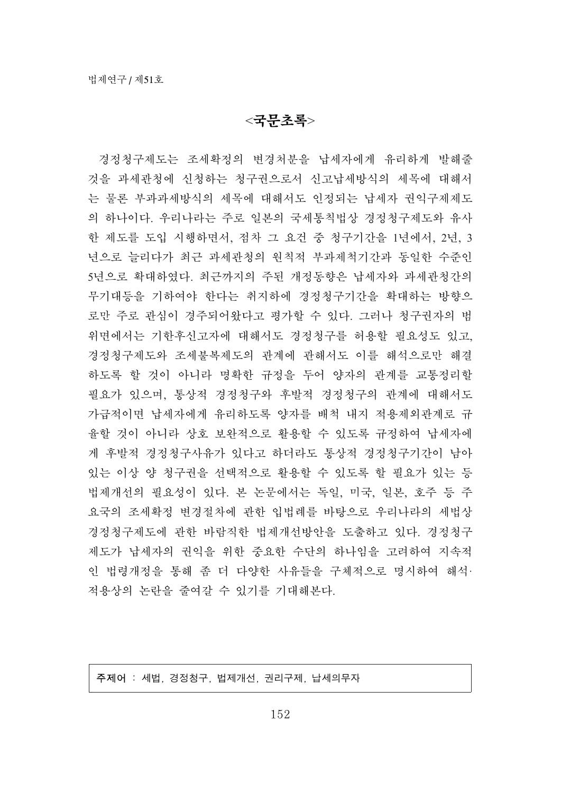# $<$ 국무초록>

경정청구제도는 조세확정의 변경처분을 납세자에게 유리하게 발해줄 것을 과세관청에 신청하는 청구권으로서 신고납세방식의 세목에 대해서 는 물론 부과과세방식의 세목에 대해서도 인정되는 납세자 권익구제제도 의 하나이다. 우리나라는 주로 일본의 국세통칙법상 경정청구제도와 유사 한 제도를 도입 시행하면서, 점차 그 요건 중 청구기간을 1년에서, 2년, 3 년으로 늘리다가 최근 과세관청의 원칙적 부과제척기간과 동일한 수준인 5년으로 확대하였다. 최근까지의 주된 개정동향은 납세자와 과세관청간의 무기대등을 기하여야 한다는 취지하에 경정청구기간을 확대하는 방향으 로만 주로 관심이 경주되어왔다고 평가할 수 있다. 그러나 청구권자의 범 위면에서는 기한후신고자에 대해서도 경정청구를 허용할 필요성도 있고. 경정청구제도와 조세불복제도의 관계에 관해서도 이를 해석으로만 해결 하도록 할 것이 아니라 명확한 규정을 두어 양자의 관계를 교통정리할 필요가 있으며, 통상적 경정청구와 후발적 경정청구의 관계에 대해서도 가급적이면 납세자에게 유리하도록 양자를 배척 내지 적용제외관계로 규 율할 것이 아니라 상호 보완적으로 활용할 수 있도록 규정하여 납세자에 게 후발적 경정청구사유가 있다고 하더라도 통상적 경정청구기간이 남아 있는 이상 양 청구권을 선택적으로 활용할 수 있도록 할 필요가 있는 등 법제개선의 필요성이 있다. 본 논문에서는 독일, 미국, 일본, 호주 등 주 요국의 조세확정 변경절차에 관한 입법례를 바탕으로 우리나라의 세법상 경정청구제도에 관한 바람직한 법제개선방안을 도출하고 있다. 경정청구 제도가 납세자의 권익을 위한 중요한 수단의 하나임을 고려하여 지속적 인 법령개정을 통해 좀 더 다양한 사유들을 구체적으로 명시하여 해석· 적용상의 논란을 줄여갈 수 있기를 기대해본다.

주제어: 세법, 경정청구, 법제개선, 권리구제, 납세의무자